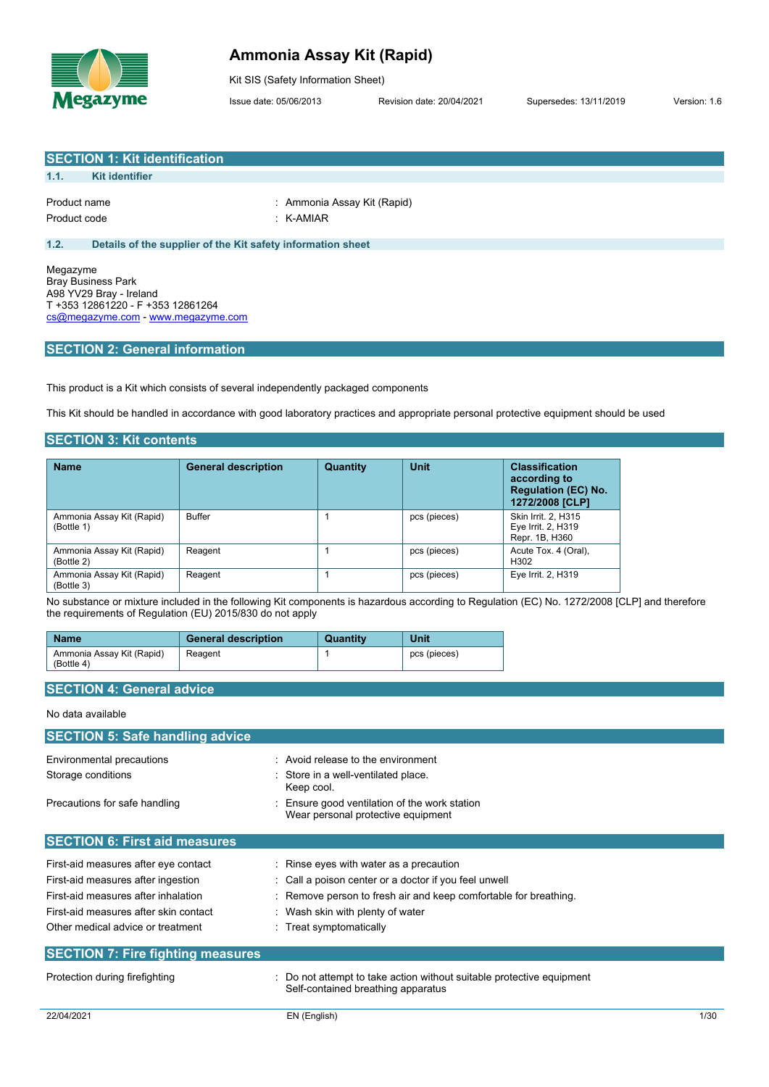

## **Ammonia Assay Kit (Rapid)**

Kit SIS (Safety Information Sheet)

Issue date: 05/06/2013 Revision date: 20/04/2021 Supersedes: 13/11/2019 Version: 1.6

|                              | <b>SECTION 1: Kit identification</b>                                                                                            |                                                                                                                                      |
|------------------------------|---------------------------------------------------------------------------------------------------------------------------------|--------------------------------------------------------------------------------------------------------------------------------------|
| 1.1.                         | <b>Kit identifier</b>                                                                                                           |                                                                                                                                      |
| Product name<br>Product code |                                                                                                                                 | : Ammonia Assay Kit (Rapid)<br>$:$ K-AMIAR                                                                                           |
| 1.2.                         | Details of the supplier of the Kit safety information sheet                                                                     |                                                                                                                                      |
| Megazyme                     | <b>Bray Business Park</b><br>A98 YV29 Bray - Ireland<br>T +353 12861220 - F +353 12861264<br>cs@megazyme.com - www.megazyme.com |                                                                                                                                      |
|                              | <b>SECTION 2: General information</b>                                                                                           |                                                                                                                                      |
|                              |                                                                                                                                 |                                                                                                                                      |
|                              | This product is a Kit which consists of several independently packaged components                                               |                                                                                                                                      |
|                              |                                                                                                                                 | This Kit should be handled in accordance with good laboratory practices and appropriate personal protective equipment should be used |

## **SECTION 3: Kit contents**

| <b>Name</b>                             | <b>General description</b> | Quantity | Unit         | <b>Classification</b><br>according to<br><b>Regulation (EC) No.</b><br>1272/2008 [CLP] |
|-----------------------------------------|----------------------------|----------|--------------|----------------------------------------------------------------------------------------|
| Ammonia Assay Kit (Rapid)<br>(Bottle 1) | <b>Buffer</b>              |          | pcs (pieces) | Skin Irrit. 2. H315<br>Eye Irrit. 2, H319<br>Repr. 1B, H360                            |
| Ammonia Assay Kit (Rapid)<br>(Bottle 2) | Reagent                    |          | pcs (pieces) | Acute Tox. 4 (Oral),<br>H <sub>302</sub>                                               |
| Ammonia Assay Kit (Rapid)<br>(Bottle 3) | Reagent                    |          | pcs (pieces) | Eye Irrit. 2, H319                                                                     |

No substance or mixture included in the following Kit components is hazardous according to Regulation (EC) No. 1272/2008 [CLP] and therefore the requirements of Regulation (EU) 2015/830 do not apply

| <b>Name</b>                             | <b>General description</b> | Quantity | <b>Unit</b>  |
|-----------------------------------------|----------------------------|----------|--------------|
| Ammonia Assay Kit (Rapid)<br>(Bottle 4) | Reagent                    |          | pcs (pieces) |

## **SECTION 4: General advice**

### No data available

| <b>SECTION 5: Safe handling advice</b>   |                                                                                                           |
|------------------------------------------|-----------------------------------------------------------------------------------------------------------|
| Environmental precautions                | : Avoid release to the environment                                                                        |
| Storage conditions                       | Store in a well-ventilated place.<br>Keep cool.                                                           |
| Precautions for safe handling            | Ensure good ventilation of the work station<br>Wear personal protective equipment                         |
| <b>SECTION 6: First aid measures</b>     |                                                                                                           |
| First-aid measures after eye contact     | : Rinse eyes with water as a precaution                                                                   |
| First-aid measures after ingestion       | : Call a poison center or a doctor if you feel unwell                                                     |
| First-aid measures after inhalation      | Remove person to fresh air and keep comfortable for breathing.                                            |
| First-aid measures after skin contact    | : Wash skin with plenty of water                                                                          |
| Other medical advice or treatment        | : Treat symptomatically                                                                                   |
| <b>SECTION 7: Fire fighting measures</b> |                                                                                                           |
| Protection during firefighting           | Do not attempt to take action without suitable protective equipment<br>Self-contained breathing apparatus |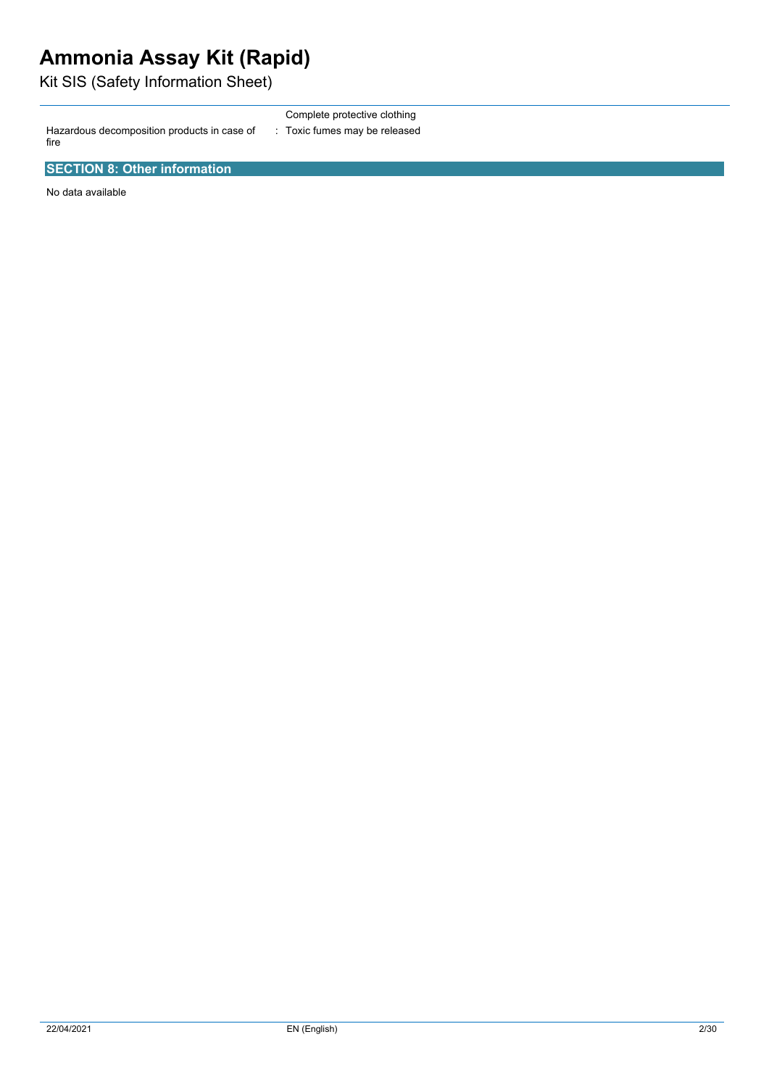# **Ammonia Assay Kit (Rapid)**

Kit SIS (Safety Information Sheet) 

Hazardous decomposition products in case of fire

Complete protective clothing : Toxic fumes may be released

**SECTION 8: Other information**

No data available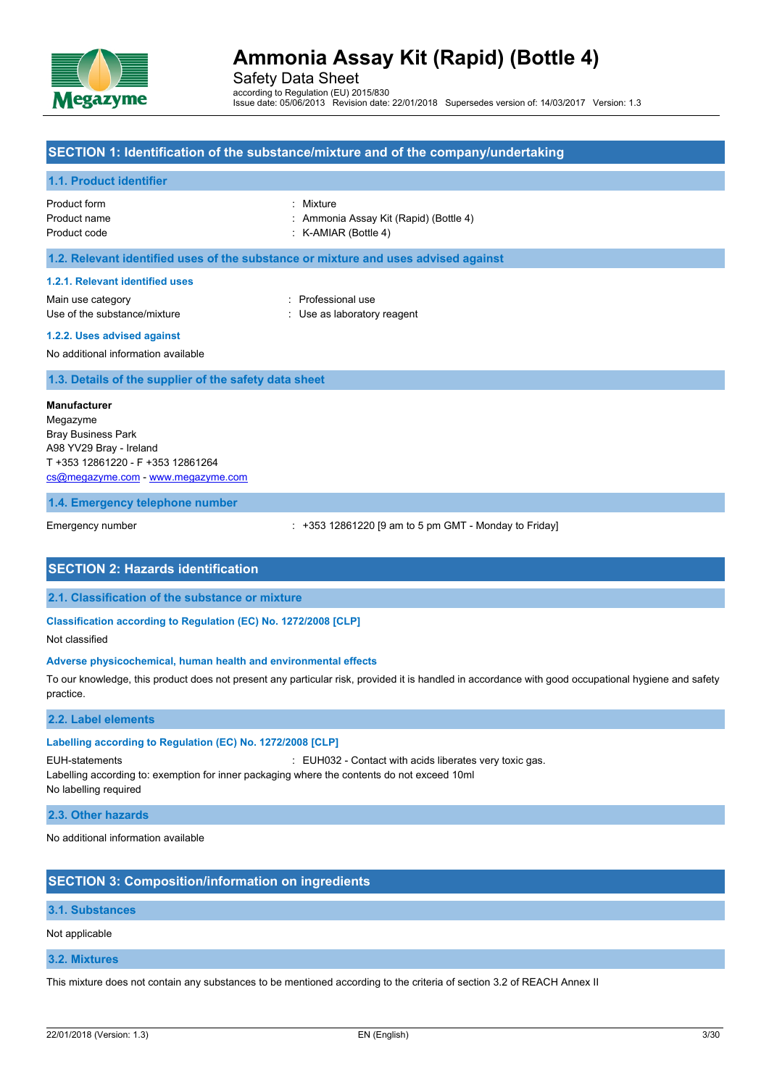

Safety Data Sheet according to Regulation (EU) 2015/830 Issue date: 05/06/2013 Revision date: 22/01/2018 Supersedes version of: 14/03/2017 Version: 1.3

## **SECTION 1: Identification of the substance/mixture and of the company/undertaking**

### **1.1. Product identifier**

| Product form | : Mixture                              |
|--------------|----------------------------------------|
| Product name | : Ammonia Assay Kit (Rapid) (Bottle 4) |
| Product code | $:$ K-AMIAR (Bottle 4)                 |

#### **1.2. Relevant identified uses of the substance or mixture and uses advised against**

#### **1.2.1. Relevant identified uses**

Main use category **Example 20** and the Main use category **in the Contract of America** contract and the Professional use Use of the substance/mixture  $\qquad \qquad : \qquad$  Use as laboratory reagent

**1.2.2. Uses advised against**

No additional information available

**1.3. Details of the supplier of the safety data sheet**

#### **Manufacturer**

Megazyme Bray Business Park A98 YV29 Bray - Ireland T +353 12861220 - F +353 12861264 [cs@megazyme.com](mailto:cs@megazyme.com) - <www.megazyme.com>

#### **1.4. Emergency telephone number**

Emergency number : +353 12861220 [9 am to 5 pm GMT - Monday to Friday]

## **SECTION 2: Hazards identification**

**2.1. Classification of the substance or mixture**

#### **Classification according to Regulation (EC) No. 1272/2008 [CLP]**

Not classified

#### **Adverse physicochemical, human health and environmental effects**

To our knowledge, this product does not present any particular risk, provided it is handled in accordance with good occupational hygiene and safety practice.

#### **2.2. Label elements**

### **Labelling according to Regulation (EC) No. 1272/2008 [CLP]**

EUH-statements : EUH032 - Contact with acids liberates very toxic gas.

Labelling according to: exemption for inner packaging where the contents do not exceed 10ml No labelling required

#### **2.3. Other hazards**

No additional information available

## **SECTION 3: Composition/information on ingredients**

### **3.1. Substances**

Not applicable

#### **3.2. Mixtures**

This mixture does not contain any substances to be mentioned according to the criteria of section 3.2 of REACH Annex II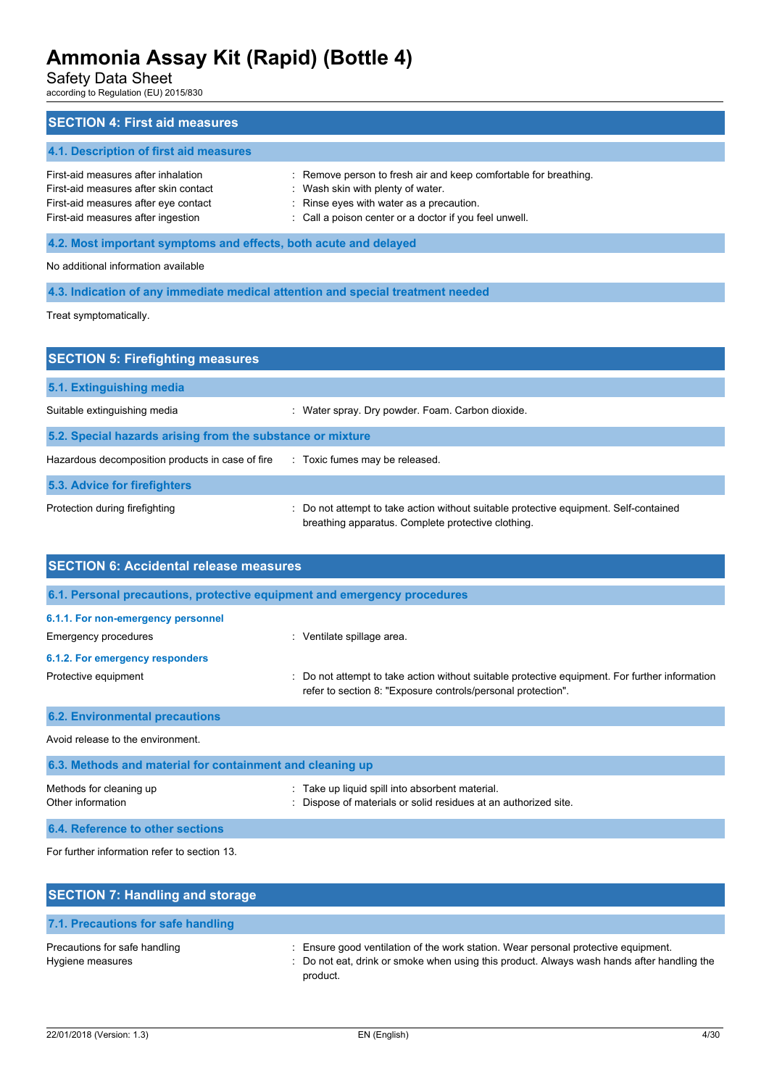Safety Data Sheet

according to Regulation (EU) 2015/830

| <b>SECTION 4: First aid measures</b>                                                                                                                       |                                                                                                                                                                                                             |  |  |  |
|------------------------------------------------------------------------------------------------------------------------------------------------------------|-------------------------------------------------------------------------------------------------------------------------------------------------------------------------------------------------------------|--|--|--|
| 4.1. Description of first aid measures                                                                                                                     |                                                                                                                                                                                                             |  |  |  |
| First-aid measures after inhalation<br>First-aid measures after skin contact<br>First-aid measures after eye contact<br>First-aid measures after ingestion | : Remove person to fresh air and keep comfortable for breathing.<br>: Wash skin with plenty of water.<br>: Rinse eyes with water as a precaution.<br>: Call a poison center or a doctor if you feel unwell. |  |  |  |
| 4.2. Most important symptoms and effects, both acute and delayed                                                                                           |                                                                                                                                                                                                             |  |  |  |
| No additional information available                                                                                                                        |                                                                                                                                                                                                             |  |  |  |
| 4.3. Indication of any immediate medical attention and special treatment needed                                                                            |                                                                                                                                                                                                             |  |  |  |

Treat symptomatically.

| <b>SECTION 5: Firefighting measures</b>                                            |                                                                                                                                           |  |  |  |  |
|------------------------------------------------------------------------------------|-------------------------------------------------------------------------------------------------------------------------------------------|--|--|--|--|
| 5.1. Extinguishing media                                                           |                                                                                                                                           |  |  |  |  |
| Suitable extinguishing media                                                       | Water spray. Dry powder. Foam. Carbon dioxide.                                                                                            |  |  |  |  |
| 5.2. Special hazards arising from the substance or mixture                         |                                                                                                                                           |  |  |  |  |
| Hazardous decomposition products in case of fire<br>: Toxic fumes may be released. |                                                                                                                                           |  |  |  |  |
| 5.3. Advice for firefighters                                                       |                                                                                                                                           |  |  |  |  |
| Protection during firefighting                                                     | Do not attempt to take action without suitable protective equipment. Self-contained<br>breathing apparatus. Complete protective clothing. |  |  |  |  |

| <b>SECTION 6: Accidental release measures</b>                                                                                                                                                                           |  |  |  |  |
|-------------------------------------------------------------------------------------------------------------------------------------------------------------------------------------------------------------------------|--|--|--|--|
| 6.1. Personal precautions, protective equipment and emergency procedures                                                                                                                                                |  |  |  |  |
| 6.1.1. For non-emergency personnel<br>Emergency procedures<br>: Ventilate spillage area.                                                                                                                                |  |  |  |  |
| 6.1.2. For emergency responders<br>Protective equipment<br>Do not attempt to take action without suitable protective equipment. For further information<br>refer to section 8: "Exposure controls/personal protection". |  |  |  |  |
| <b>6.2. Environmental precautions</b>                                                                                                                                                                                   |  |  |  |  |
| Avoid release to the environment.                                                                                                                                                                                       |  |  |  |  |
| 6.3. Methods and material for containment and cleaning up                                                                                                                                                               |  |  |  |  |
| Methods for cleaning up<br>Take up liquid spill into absorbent material.<br>Other information<br>Dispose of materials or solid residues at an authorized site.                                                          |  |  |  |  |

**6.4. Reference to other sections** For further information refer to section 13.

| <b>SECTION 7: Handling and storage</b>            |                                                                                                                                                                                              |
|---------------------------------------------------|----------------------------------------------------------------------------------------------------------------------------------------------------------------------------------------------|
| 7.1. Precautions for safe handling                |                                                                                                                                                                                              |
| Precautions for safe handling<br>Hygiene measures | : Ensure good ventilation of the work station. Wear personal protective equipment.<br>: Do not eat, drink or smoke when using this product. Always wash hands after handling the<br>product. |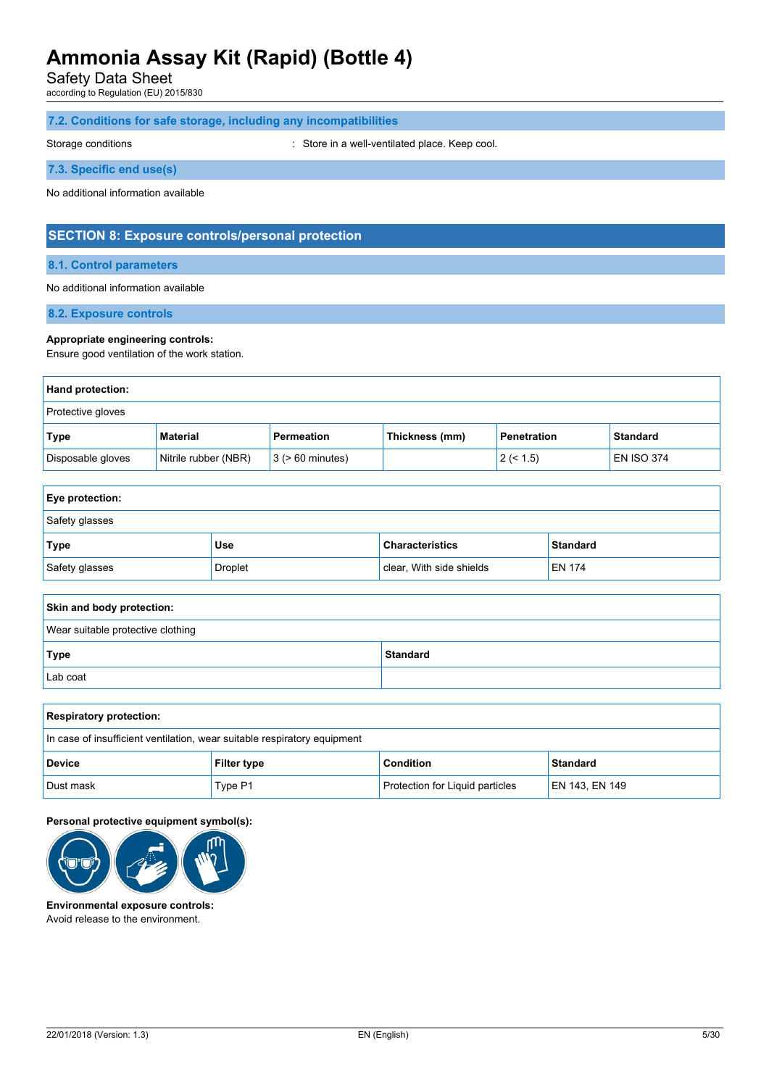Safety Data Sheet

according to Regulation (EU) 2015/830

## **7.2. Conditions for safe storage, including any incompatibilities**

Storage conditions **Storage conditions** : Store in a well-ventilated place. Keep cool.

## **7.3. Specific end use(s)**

No additional information available

## **SECTION 8: Exposure controls/personal protection**

## **8.1. Control parameters**

### No additional information available

**8.2. Exposure controls**

### **Appropriate engineering controls:**

Ensure good ventilation of the work station.

| Hand protection:  |                      |                       |                |                    |                   |
|-------------------|----------------------|-----------------------|----------------|--------------------|-------------------|
| Protective gloves |                      |                       |                |                    |                   |
| Type              | Material             | Permeation            | Thickness (mm) | <b>Penetration</b> | <b>Standard</b>   |
| Disposable gloves | Nitrile rubber (NBR) | $3$ ( $> 60$ minutes) |                | 2 (< 1.5)          | <b>EN ISO 374</b> |

| <b>Eye protection:</b> |         |                          |                 |  |
|------------------------|---------|--------------------------|-----------------|--|
| Safety glasses         |         |                          |                 |  |
| Type                   | Use     | <b>Characteristics</b>   | <b>Standard</b> |  |
| Safety glasses         | Droplet | clear, With side shields | <b>EN 174</b>   |  |

| Skin and body protection:         |                 |  |  |
|-----------------------------------|-----------------|--|--|
| Wear suitable protective clothing |                 |  |  |
| Type                              | <b>Standard</b> |  |  |
| Lab coat                          |                 |  |  |

| <b>Respiratory protection:</b>                                           |         |                                        |                 |
|--------------------------------------------------------------------------|---------|----------------------------------------|-----------------|
| In case of insufficient ventilation, wear suitable respiratory equipment |         |                                        |                 |
| <b>Device</b><br><b>Filter type</b>                                      |         | <b>Condition</b>                       | <b>Standard</b> |
| Dust mask                                                                | Type P1 | <b>Protection for Liquid particles</b> | EN 143, EN 149  |

### **Personal protective equipment symbol(s):**



**Environmental exposure controls:** Avoid release to the environment.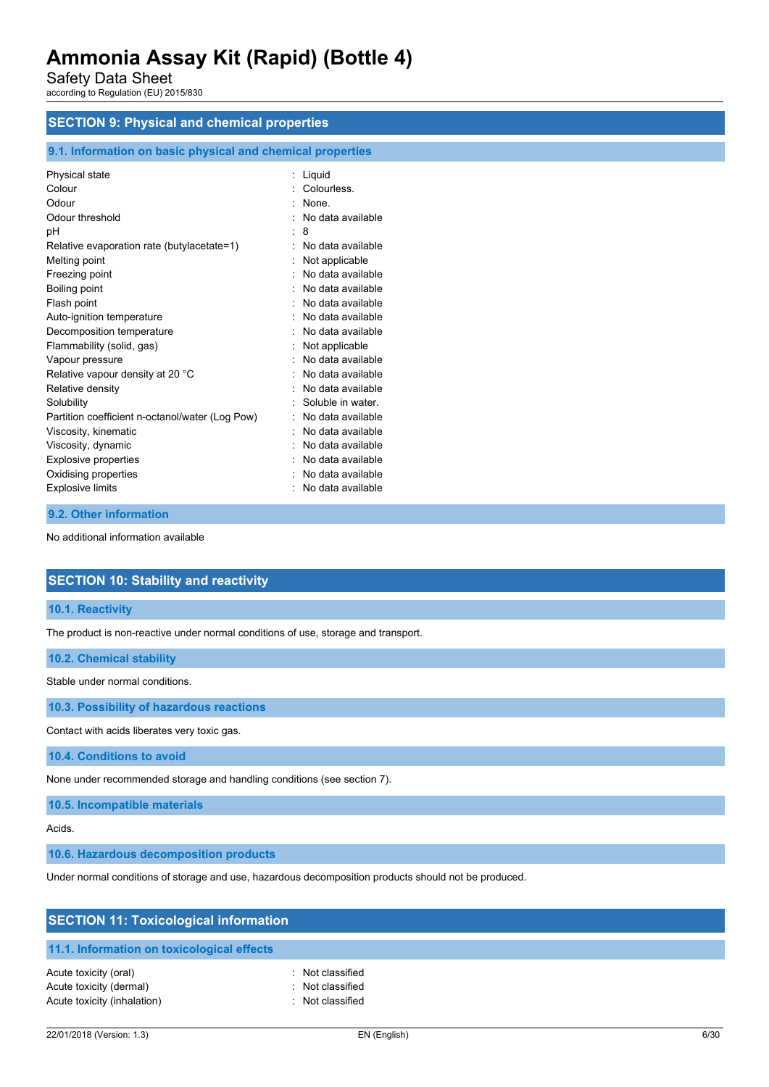Safety Data Sheet

according to Regulation (EU) 2015/830

## **SECTION 9: Physical and chemical properties**

## **9.1. Information on basic physical and chemical properties**

|   | Liquid            |
|---|-------------------|
|   | Colourless.       |
|   | None.             |
|   | No data available |
| t | 8                 |
|   | No data available |
|   | Not applicable    |
|   | No data available |
|   | No data available |
|   | No data available |
|   | No data available |
|   | No data available |
|   | Not applicable    |
|   | No data available |
|   | No data available |
|   | No data available |
|   | Soluble in water. |
|   | No data available |
|   | No data available |
|   | No data available |
|   | No data available |
|   | No data available |
|   | No data available |
|   |                   |

### **9.2. Other information**

No additional information available

## **SECTION 10: Stability and reactivity**

## **10.1. Reactivity**

The product is non-reactive under normal conditions of use, storage and transport.

## **10.2. Chemical stability**

Stable under normal conditions.

**10.3. Possibility of hazardous reactions**

Contact with acids liberates very toxic gas.

**10.4. Conditions to avoid**

None under recommended storage and handling conditions (see section 7).

**10.5. Incompatible materials**

### Acids.

**10.6. Hazardous decomposition products**

Under normal conditions of storage and use, hazardous decomposition products should not be produced.

| <b>SECTION 11: Toxicological information</b>                                    |                                                    |  |
|---------------------------------------------------------------------------------|----------------------------------------------------|--|
| 11.1. Information on toxicological effects                                      |                                                    |  |
| Acute toxicity (oral)<br>Acute toxicity (dermal)<br>Acute toxicity (inhalation) | Not classified<br>Not classified<br>Not classified |  |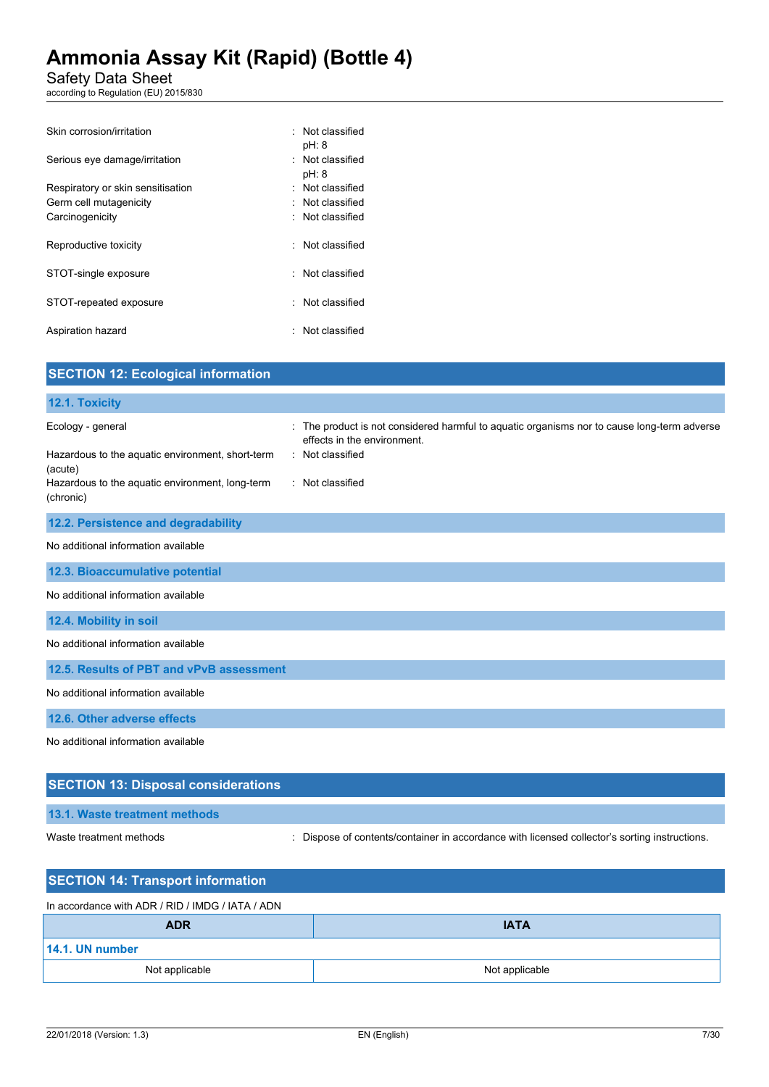Safety Data Sheet

according to Regulation (EU) 2015/830

| Skin corrosion/irritation         | : Not classified<br>pH: 8 |
|-----------------------------------|---------------------------|
| Serious eye damage/irritation     | : Not classified<br>pH: 8 |
| Respiratory or skin sensitisation | : Not classified          |
| Germ cell mutagenicity            | : Not classified          |
| Carcinogenicity                   | : Not classified          |
| Reproductive toxicity             | : Not classified          |
| STOT-single exposure              | : Not classified          |
| STOT-repeated exposure            | : Not classified          |
| Aspiration hazard                 | : Not classified          |

| <b>SECTION 12: Ecological information</b>                    |                                                                                                                            |
|--------------------------------------------------------------|----------------------------------------------------------------------------------------------------------------------------|
| 12.1. Toxicity                                               |                                                                                                                            |
| Ecology - general                                            | : The product is not considered harmful to aquatic organisms nor to cause long-term adverse<br>effects in the environment. |
| Hazardous to the aquatic environment, short-term<br>(acute)  | : Not classified                                                                                                           |
| Hazardous to the aquatic environment, long-term<br>(chronic) | : Not classified                                                                                                           |
| 12.2. Persistence and degradability                          |                                                                                                                            |
| No additional information available                          |                                                                                                                            |
| 12.3. Bioaccumulative potential                              |                                                                                                                            |
| No additional information available                          |                                                                                                                            |
| 12.4. Mobility in soil                                       |                                                                                                                            |
| No additional information available                          |                                                                                                                            |
| 12.5. Results of PBT and vPvB assessment                     |                                                                                                                            |
| No additional information available                          |                                                                                                                            |
| 12.6. Other adverse effects                                  |                                                                                                                            |
| No additional information available                          |                                                                                                                            |
| <b>SECTION 13: Disposal considerations</b>                   |                                                                                                                            |

## **13.1. Waste treatment methods**

Waste treatment methods : Dispose of contents/container in accordance with licensed collector's sorting instructions.

| <b>SECTION 14: Transport information</b>         |                |  |
|--------------------------------------------------|----------------|--|
| In accordance with ADR / RID / IMDG / IATA / ADN |                |  |
| <b>ADR</b>                                       | <b>IATA</b>    |  |
| 14.1. UN number                                  |                |  |
| Not applicable                                   | Not applicable |  |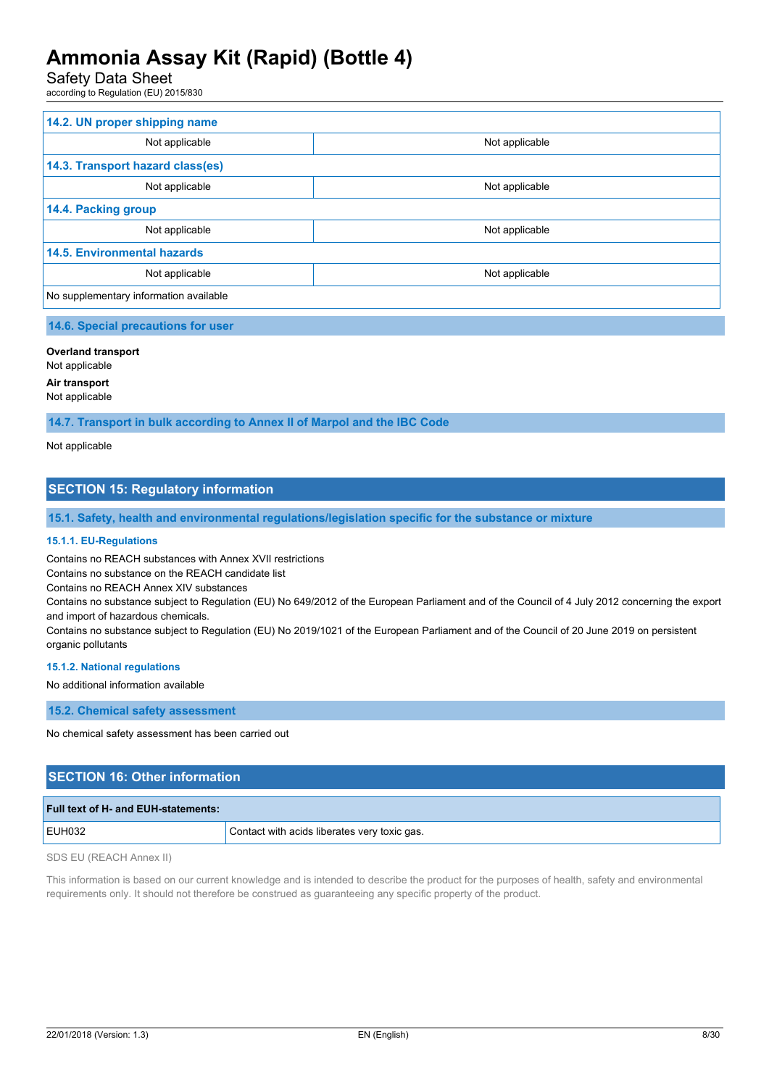Safety Data Sheet

according to Regulation (EU) 2015/830

| 14.2. UN proper shipping name          |                |
|----------------------------------------|----------------|
| Not applicable                         | Not applicable |
| 14.3. Transport hazard class(es)       |                |
| Not applicable                         | Not applicable |
| 14.4. Packing group                    |                |
| Not applicable                         | Not applicable |
| <b>14.5. Environmental hazards</b>     |                |
| Not applicable                         | Not applicable |
| No supplementary information available |                |

### **14.6. Special precautions for user**

## **Overland transport**

Not applicable

## **Air transport**

Not applicable

**14.7. Transport in bulk according to Annex II of Marpol and the IBC Code**

Not applicable

## **SECTION 15: Regulatory information**

**15.1. Safety, health and environmental regulations/legislation specific for the substance or mixture**

#### **15.1.1. EU-Regulations**

Contains no REACH substances with Annex XVII restrictions

Contains no substance on the REACH candidate list

Contains no REACH Annex XIV substances

Contains no substance subject to Regulation (EU) No 649/2012 of the European Parliament and of the Council of 4 July 2012 concerning the export and import of hazardous chemicals.

Contains no substance subject to Regulation (EU) No 2019/1021 of the European Parliament and of the Council of 20 June 2019 on persistent organic pollutants

#### **15.1.2. National regulations**

No additional information available

**15.2. Chemical safety assessment**

No chemical safety assessment has been carried out

## **SECTION 16: Other information**

| <b>Full text of H- and EUH-statements:</b> |                                              |
|--------------------------------------------|----------------------------------------------|
| EUH032                                     | Contact with acids liberates very toxic gas. |

SDS EU (REACH Annex II)

This information is based on our current knowledge and is intended to describe the product for the purposes of health, safety and environmental requirements only. It should not therefore be construed as guaranteeing any specific property of the product.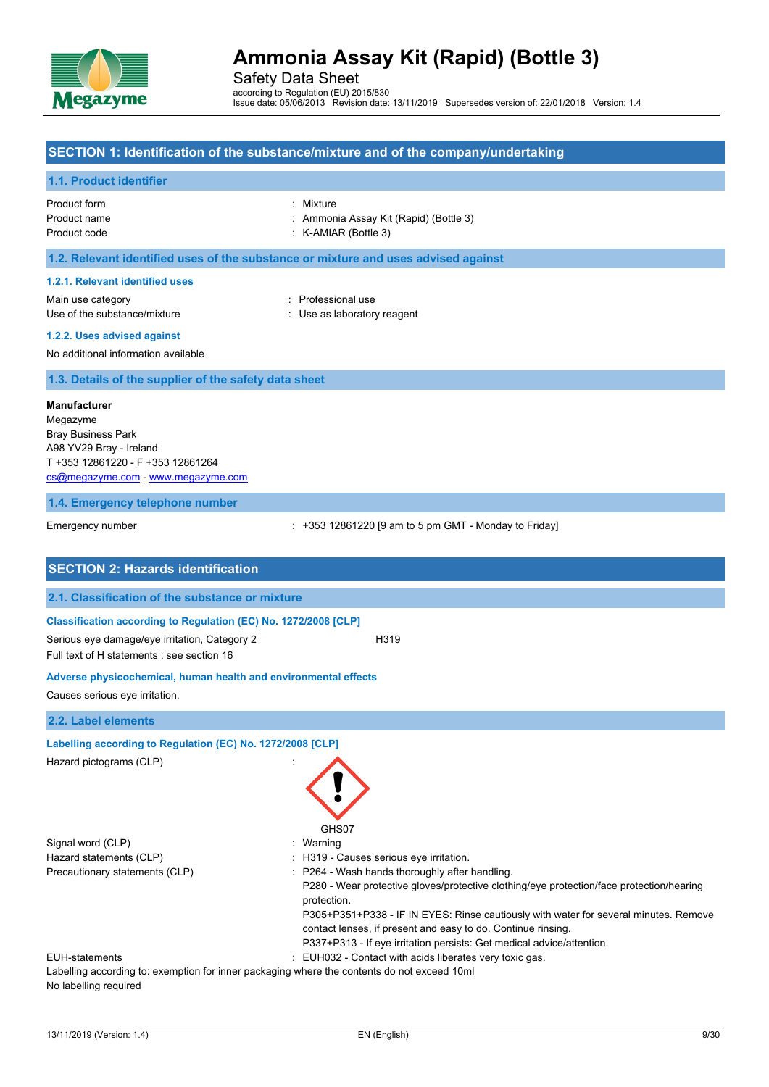

Safety Data Sheet according to Regulation (EU) 2015/830 Issue date: 05/06/2013 Revision date: 13/11/2019 Supersedes version of: 22/01/2018 Version: 1.4

## **SECTION 1: Identification of the substance/mixture and of the company/undertaking**

### **1.1. Product identifier**

| Product form | : Mixture                              |
|--------------|----------------------------------------|
| Product name | : Ammonia Assay Kit (Rapid) (Bottle 3) |
| Product code | $:$ K-AMIAR (Bottle 3)                 |

## **1.2. Relevant identified uses of the substance or mixture and uses advised against**

#### **1.2.1. Relevant identified uses**

Main use category **Example 20** and 20 and 20 and 20 and 20 and 20 and 20 and 20 and 20 and 20 and 20 and 20 and 20 and 20 and 20 and 20 and 20 and 20 and 20 and 20 and 20 and 20 and 20 and 20 and 20 and 20 and 20 and 20 an Use of the substance/mixture in the substance of the substance of the substance in the substance of the substance of the substance of the substance of the substance of the substance of the substance of the substance of the

**1.2.2. Uses advised against**

No additional information available

**1.3. Details of the supplier of the safety data sheet**

#### **Manufacturer**

Megazyme Bray Business Park A98 YV29 Bray - Ireland T +353 12861220 - F +353 12861264 [cs@megazyme.com](mailto:cs@megazyme.com) - <www.megazyme.com>

#### **1.4. Emergency telephone number**

Emergency number **Emergency** number : +353 12861220 [9 am to 5 pm GMT - Monday to Friday]

| <b>SECTION 2: Hazards identification</b>                                                    |                                                                                                                                                                                                                                                                                                                                                                                          |
|---------------------------------------------------------------------------------------------|------------------------------------------------------------------------------------------------------------------------------------------------------------------------------------------------------------------------------------------------------------------------------------------------------------------------------------------------------------------------------------------|
| 2.1. Classification of the substance or mixture                                             |                                                                                                                                                                                                                                                                                                                                                                                          |
| Classification according to Regulation (EC) No. 1272/2008 [CLP]                             |                                                                                                                                                                                                                                                                                                                                                                                          |
| Serious eye damage/eye irritation, Category 2<br>Full text of H statements : see section 16 | H319                                                                                                                                                                                                                                                                                                                                                                                     |
| Adverse physicochemical, human health and environmental effects                             |                                                                                                                                                                                                                                                                                                                                                                                          |
| Causes serious eye irritation.                                                              |                                                                                                                                                                                                                                                                                                                                                                                          |
| 2.2. Label elements                                                                         |                                                                                                                                                                                                                                                                                                                                                                                          |
| Labelling according to Regulation (EC) No. 1272/2008 [CLP]                                  |                                                                                                                                                                                                                                                                                                                                                                                          |
| Hazard pictograms (CLP)                                                                     | GHS07                                                                                                                                                                                                                                                                                                                                                                                    |
| Signal word (CLP)                                                                           | : Warning                                                                                                                                                                                                                                                                                                                                                                                |
| Hazard statements (CLP)                                                                     | : H319 - Causes serious eye irritation.                                                                                                                                                                                                                                                                                                                                                  |
| Precautionary statements (CLP)                                                              | P264 - Wash hands thoroughly after handling.<br>P280 - Wear protective gloves/protective clothing/eye protection/face protection/hearing<br>protection.<br>P305+P351+P338 - IF IN EYES: Rinse cautiously with water for several minutes. Remove<br>contact lenses, if present and easy to do. Continue rinsing.<br>P337+P313 - If eye irritation persists: Get medical advice/attention. |
| <b>EUH-statements</b>                                                                       | : EUH032 - Contact with acids liberates very toxic gas.                                                                                                                                                                                                                                                                                                                                  |
|                                                                                             | Labelling according to: exemption for inner packaging where the contents do not exceed 10ml                                                                                                                                                                                                                                                                                              |
| No labelling required                                                                       |                                                                                                                                                                                                                                                                                                                                                                                          |

13/11/2019 (Version: 1.4) EN (English) 9/30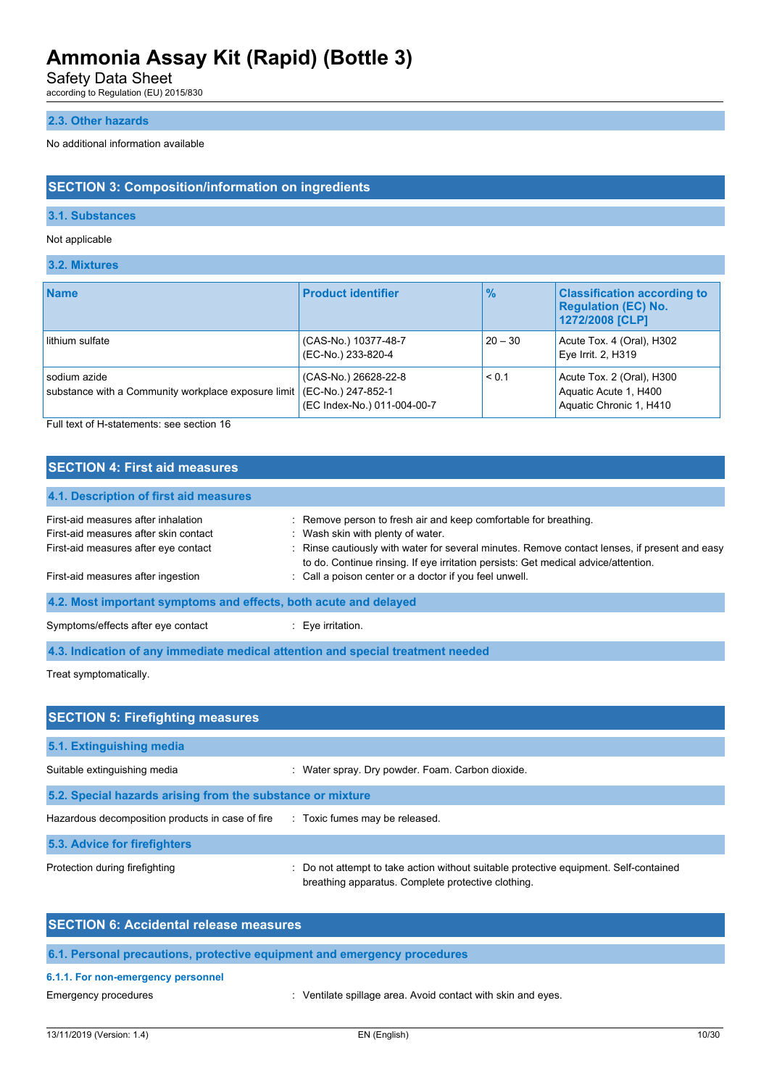Safety Data Sheet

according to Regulation (EU) 2015/830

## **2.3. Other hazards**

No additional information available

## **SECTION 3: Composition/information on ingredients**

## **3.1. Substances**

## Not applicable

## **3.2. Mixtures**

| <b>Name</b>                                                         | <b>Product identifier</b>                                                 | $\frac{9}{6}$ | <b>Classification according to</b><br><b>Regulation (EC) No.</b><br>1272/2008 [CLP] |
|---------------------------------------------------------------------|---------------------------------------------------------------------------|---------------|-------------------------------------------------------------------------------------|
| lithium sulfate                                                     | (CAS-No.) 10377-48-7<br>(EC-No.) 233-820-4                                | $20 - 30$     | Acute Tox. 4 (Oral), H302<br>Eye Irrit. 2, H319                                     |
| sodium azide<br>substance with a Community workplace exposure limit | (CAS-No.) 26628-22-8<br>(EC-No.) 247-852-1<br>(EC Index-No.) 011-004-00-7 | < 0.1         | Acute Tox. 2 (Oral), H300<br>Aquatic Acute 1, H400<br>Aquatic Chronic 1, H410       |

Full text of H-statements: see section 16

## **SECTION 4: First aid measures**

| 4.1. Description of first aid measures                           |                                                                                                                                                                                     |
|------------------------------------------------------------------|-------------------------------------------------------------------------------------------------------------------------------------------------------------------------------------|
| First-aid measures after inhalation                              | : Remove person to fresh air and keep comfortable for breathing.                                                                                                                    |
| First-aid measures after skin contact                            | : Wash skin with plenty of water.                                                                                                                                                   |
| First-aid measures after eye contact                             | : Rinse cautiously with water for several minutes. Remove contact lenses, if present and easy<br>to do. Continue rinsing. If eye irritation persists: Get medical advice/attention. |
| First-aid measures after ingestion                               | : Call a poison center or a doctor if you feel unwell.                                                                                                                              |
| 4.2. Most important symptoms and effects, both acute and delayed |                                                                                                                                                                                     |
| Symptoms/effects after eye contact                               | Eye irritation.                                                                                                                                                                     |

**4.3. Indication of any immediate medical attention and special treatment needed**

Treat symptomatically.

| <b>SECTION 5: Firefighting measures</b>                    |                                                                                                                                             |  |  |  |
|------------------------------------------------------------|---------------------------------------------------------------------------------------------------------------------------------------------|--|--|--|
| 5.1. Extinguishing media                                   |                                                                                                                                             |  |  |  |
| Suitable extinguishing media                               | Water spray. Dry powder. Foam. Carbon dioxide.                                                                                              |  |  |  |
| 5.2. Special hazards arising from the substance or mixture |                                                                                                                                             |  |  |  |
| Hazardous decomposition products in case of fire           | : Toxic fumes may be released.                                                                                                              |  |  |  |
| 5.3. Advice for firefighters                               |                                                                                                                                             |  |  |  |
| Protection during firefighting                             | : Do not attempt to take action without suitable protective equipment. Self-contained<br>breathing apparatus. Complete protective clothing. |  |  |  |

| <b>SECTION 6: Accidental release measures</b>                            |
|--------------------------------------------------------------------------|
| 6.1. Personal precautions, protective equipment and emergency procedures |
| 6.1.1. For non-emergency personnel                                       |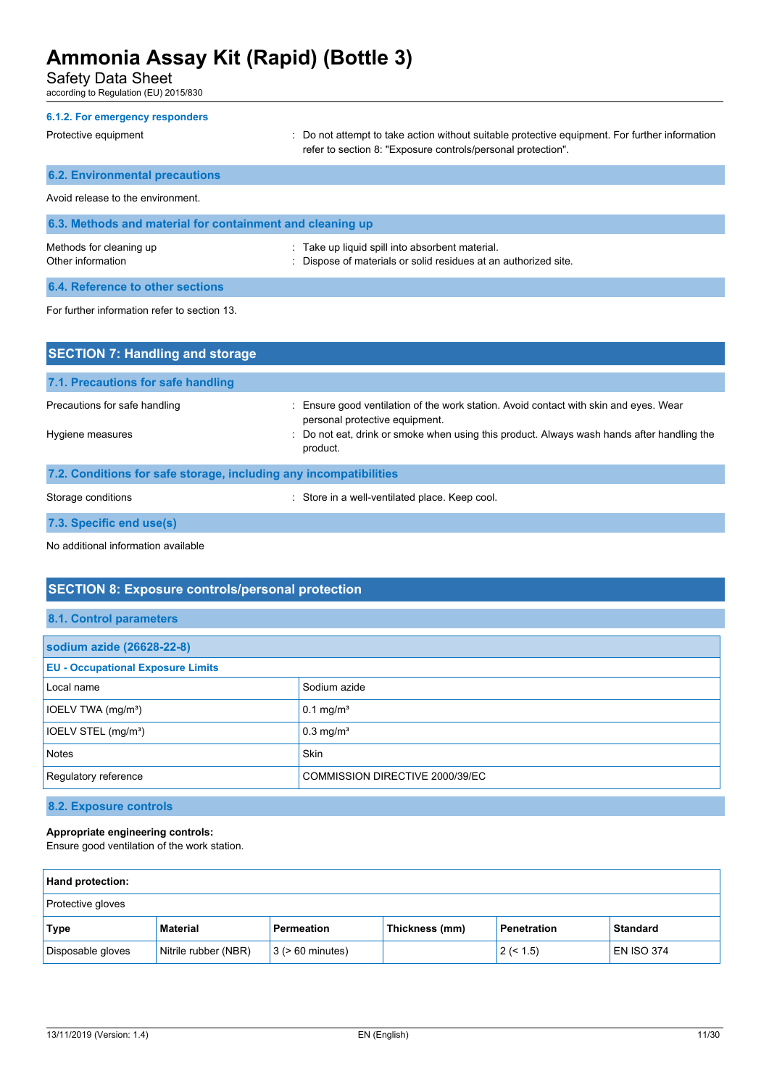Safety Data Sheet

according to Regulation (EU) 2015/830

| 6.1.2. For emergency responders                           |                                                                                                                                                                |
|-----------------------------------------------------------|----------------------------------------------------------------------------------------------------------------------------------------------------------------|
| Protective equipment                                      | : Do not attempt to take action without suitable protective equipment. For further information<br>refer to section 8: "Exposure controls/personal protection". |
| <b>6.2. Environmental precautions</b>                     |                                                                                                                                                                |
| Avoid release to the environment.                         |                                                                                                                                                                |
| 6.3. Methods and material for containment and cleaning up |                                                                                                                                                                |
| Methods for cleaning up<br>Other information              | : Take up liquid spill into absorbent material.<br>: Dispose of materials or solid residues at an authorized site.                                             |
| 6.4. Reference to other sections                          |                                                                                                                                                                |
| For further information refer to section 13.              |                                                                                                                                                                |

| <b>SECTION 7: Handling and storage</b>                            |                                                                                                                         |  |  |  |
|-------------------------------------------------------------------|-------------------------------------------------------------------------------------------------------------------------|--|--|--|
| 7.1. Precautions for safe handling                                |                                                                                                                         |  |  |  |
| Precautions for safe handling                                     | : Ensure good ventilation of the work station. Avoid contact with skin and eyes. Wear<br>personal protective equipment. |  |  |  |
| Hygiene measures                                                  | : Do not eat, drink or smoke when using this product. Always wash hands after handling the<br>product.                  |  |  |  |
| 7.2. Conditions for safe storage, including any incompatibilities |                                                                                                                         |  |  |  |
| Storage conditions                                                | : Store in a well-ventilated place. Keep cool.                                                                          |  |  |  |
| 7.3. Specific end use(s)                                          |                                                                                                                         |  |  |  |

No additional information available

## **SECTION 8: Exposure controls/personal protection**

## **8.1. Control parameters**

| sodium azide (26628-22-8)                               |                         |  |
|---------------------------------------------------------|-------------------------|--|
| <b>EU - Occupational Exposure Limits</b>                |                         |  |
| Local name                                              | Sodium azide            |  |
| IOELV TWA (mg/m <sup>3</sup> )                          | $0.1$ mg/m <sup>3</sup> |  |
| IOELV STEL (mg/m <sup>3</sup> )                         | $0.3$ mg/m <sup>3</sup> |  |
| <b>Notes</b>                                            | <b>Skin</b>             |  |
| Regulatory reference<br>COMMISSION DIRECTIVE 2000/39/EC |                         |  |

## **8.2. Exposure controls**

## **Appropriate engineering controls:**

Ensure good ventilation of the work station.

| <b>Hand protection:</b> |                      |                       |                |                    |                   |
|-------------------------|----------------------|-----------------------|----------------|--------------------|-------------------|
| Protective gloves       |                      |                       |                |                    |                   |
| Type                    | Material             | Permeation            | Thickness (mm) | <b>Penetration</b> | <b>Standard</b>   |
| Disposable gloves       | Nitrile rubber (NBR) | $3$ ( $> 60$ minutes) |                | 2 (< 1.5)          | <b>EN ISO 374</b> |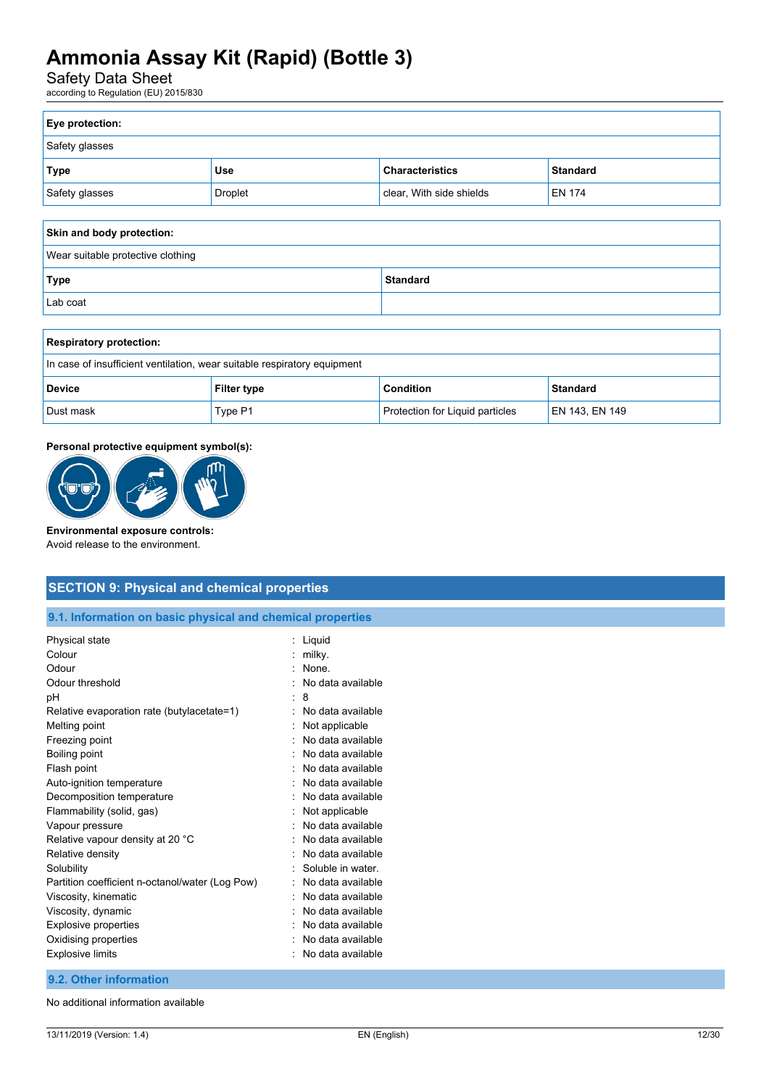Safety Data Sheet

according to Regulation (EU) 2015/830

| Eye protection: |         |                          |                 |
|-----------------|---------|--------------------------|-----------------|
| Safety glasses  |         |                          |                 |
| <b>Type</b>     | Use     | <b>Characteristics</b>   | <b>Standard</b> |
| Safety glasses  | Droplet | clear, With side shields | <b>EN 174</b>   |
|                 |         |                          |                 |

| Skin and body protection:         |                 |  |
|-----------------------------------|-----------------|--|
| Wear suitable protective clothing |                 |  |
| Type                              | <b>Standard</b> |  |
| Lab coat                          |                 |  |

| <b>Respiratory protection:</b>                                             |         |                                 |                |
|----------------------------------------------------------------------------|---------|---------------------------------|----------------|
| In case of insufficient ventilation, wear suitable respiratory equipment   |         |                                 |                |
| <b>Condition</b><br><b>Standard</b><br><b>Filter type</b><br><b>Device</b> |         |                                 |                |
| Dust mask                                                                  | Type P1 | Protection for Liquid particles | EN 143, EN 149 |

## **Personal protective equipment symbol(s):**



### **Environmental exposure controls:**

Avoid release to the environment.

## **SECTION 9: Physical and chemical properties**

**9.1. Information on basic physical and chemical properties**

| Physical state<br>Colour<br>Odour<br>Odour threshold |   | Liquid<br>milky.<br>None.<br>No data available |
|------------------------------------------------------|---|------------------------------------------------|
| рH                                                   |   | 8                                              |
| Relative evaporation rate (butylacetate=1)           | ٠ | No data available                              |
| Melting point                                        |   | Not applicable                                 |
| Freezing point                                       |   | No data available                              |
| Boiling point                                        |   | No data available                              |
| Flash point                                          |   | No data available                              |
| Auto-ignition temperature                            |   | No data available                              |
| Decomposition temperature                            |   | No data available                              |
| Flammability (solid, gas)                            |   | Not applicable                                 |
| Vapour pressure                                      |   | No data available                              |
| Relative vapour density at 20 °C                     |   | No data available                              |
| Relative density                                     |   | No data available                              |
| Solubility                                           |   | Soluble in water.                              |
| Partition coefficient n-octanol/water (Log Pow)      |   | No data available                              |
| Viscosity, kinematic                                 |   | No data available                              |
| Viscosity, dynamic                                   |   | No data available                              |
| <b>Explosive properties</b>                          |   | No data available                              |
| Oxidising properties                                 |   | No data available                              |
| <b>Explosive limits</b>                              |   | No data available                              |

## **9.2. Other information**

No additional information available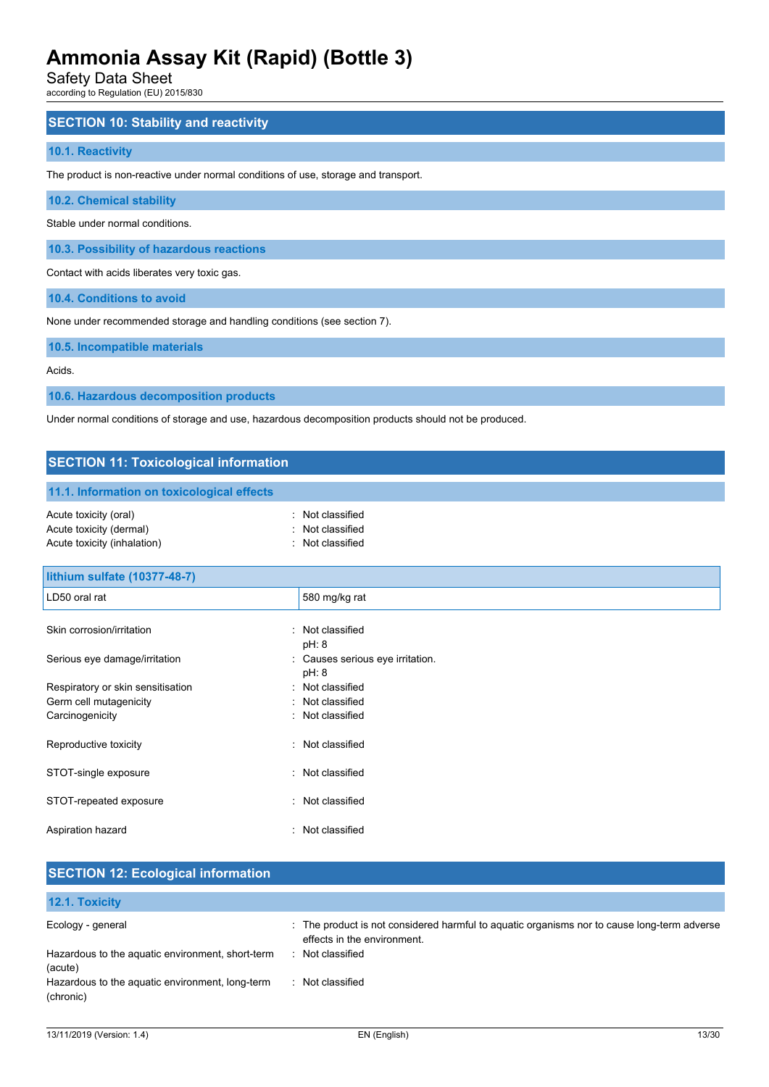Safety Data Sheet

according to Regulation (EU) 2015/830

## **SECTION 10: Stability and reactivity**

### **10.1. Reactivity**

The product is non-reactive under normal conditions of use, storage and transport.

**10.2. Chemical stability**

Stable under normal conditions.

**10.3. Possibility of hazardous reactions**

Contact with acids liberates very toxic gas.

**10.4. Conditions to avoid**

None under recommended storage and handling conditions (see section 7).

**10.5. Incompatible materials**

Acids.

**10.6. Hazardous decomposition products**

Under normal conditions of storage and use, hazardous decomposition products should not be produced.

## **SECTION 11: Toxicological information 11.1. Information on toxicological effects** Acute toxicity (oral) **Example 2** Constant Constant Constant Constant Constant Constant Constant Constant Constant Acute toxicity (dermal) **Example 20** Acute toxicity (dermal) Acute toxicity (inhalation) **Example 2** Contract 2 Contract 2 Contract 2 Contract 2 Contract 2 Contract 2 Contract 2 Contract 2 Contract 2 Contract 2 Contract 2 Contract 2 Contract 2 Contract 2 Contract 2 Contract 2 Contra **lithium sulfate (10377-48-7)**

| LD50 oral rat                     | 580 mg/kg rat                             |
|-----------------------------------|-------------------------------------------|
| Skin corrosion/irritation         | : Not classified<br>pH: 8                 |
| Serious eye damage/irritation     | : Causes serious eye irritation.<br>pH: 8 |
| Respiratory or skin sensitisation | : Not classified                          |
| Germ cell mutagenicity            | : Not classified                          |
| Carcinogenicity                   | : Not classified                          |
| Reproductive toxicity             | : Not classified                          |
| STOT-single exposure              | : Not classified                          |
| STOT-repeated exposure            | : Not classified                          |
| Aspiration hazard                 | : Not classified                          |

| <b>SECTION 12: Ecological information</b>                    |                                                                                                                            |
|--------------------------------------------------------------|----------------------------------------------------------------------------------------------------------------------------|
| <b>12.1. Toxicity</b>                                        |                                                                                                                            |
| Ecology - general                                            | : The product is not considered harmful to aquatic organisms nor to cause long-term adverse<br>effects in the environment. |
| Hazardous to the aquatic environment, short-term<br>(acute)  | : Not classified                                                                                                           |
| Hazardous to the aquatic environment, long-term<br>(chronic) | : Not classified                                                                                                           |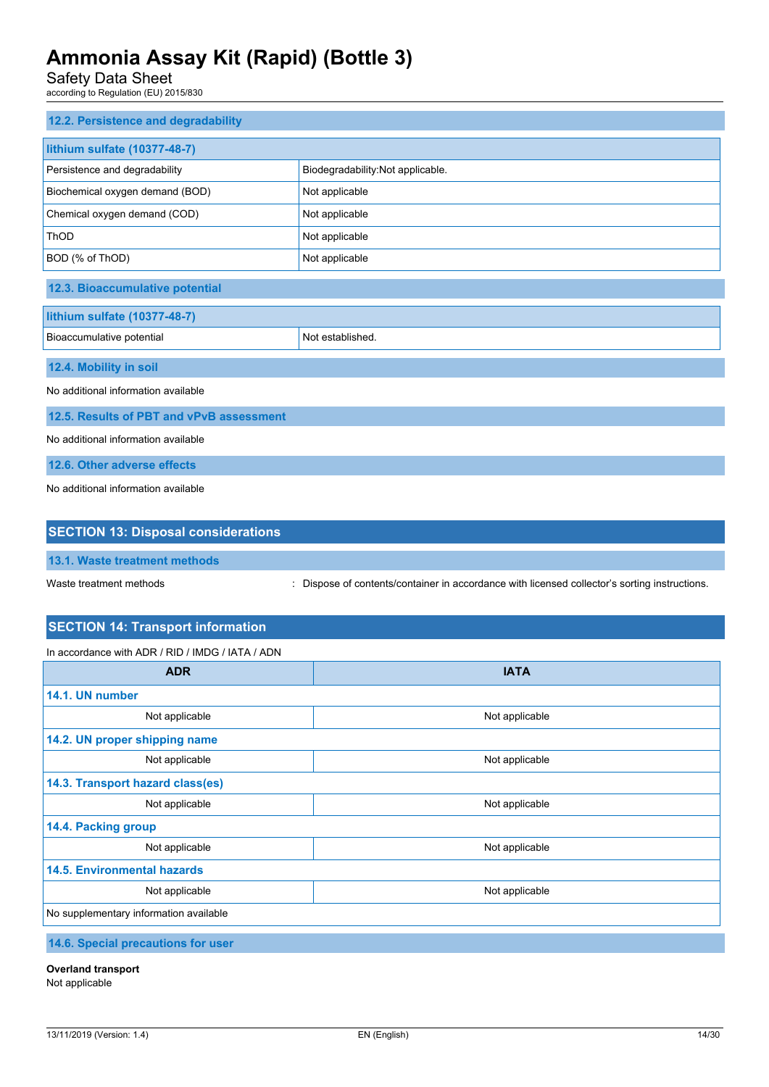Safety Data Sheet

according to Regulation (EU) 2015/830

| 12.2. Persistence and degradability        |                                   |  |  |  |
|--------------------------------------------|-----------------------------------|--|--|--|
| lithium sulfate (10377-48-7)               |                                   |  |  |  |
| Persistence and degradability              | Biodegradability: Not applicable. |  |  |  |
| Biochemical oxygen demand (BOD)            | Not applicable                    |  |  |  |
| Chemical oxygen demand (COD)               | Not applicable                    |  |  |  |
| ThOD                                       | Not applicable                    |  |  |  |
| BOD (% of ThOD)                            | Not applicable                    |  |  |  |
| 12.3. Bioaccumulative potential            |                                   |  |  |  |
| lithium sulfate (10377-48-7)               |                                   |  |  |  |
| Bioaccumulative potential                  | Not established.                  |  |  |  |
| 12.4. Mobility in soil                     |                                   |  |  |  |
| No additional information available        |                                   |  |  |  |
| 12.5. Results of PBT and vPvB assessment   |                                   |  |  |  |
| No additional information available        |                                   |  |  |  |
| 12.6. Other adverse effects                |                                   |  |  |  |
| No additional information available        |                                   |  |  |  |
|                                            |                                   |  |  |  |
| <b>SECTION 13: Disposal considerations</b> |                                   |  |  |  |

**13.1. Waste treatment methods**

Waste treatment methods : Dispose of contents/container in accordance with licensed collector's sorting instructions.

## **SECTION 14: Transport information**

In accordance with ADR / RID / IMDG / IATA / ADN

| <b>ADR</b>                             | <b>IATA</b>    |  |  |  |
|----------------------------------------|----------------|--|--|--|
| 14.1. UN number                        |                |  |  |  |
| Not applicable                         | Not applicable |  |  |  |
| 14.2. UN proper shipping name          |                |  |  |  |
| Not applicable                         | Not applicable |  |  |  |
| 14.3. Transport hazard class(es)       |                |  |  |  |
| Not applicable                         | Not applicable |  |  |  |
| 14.4. Packing group                    |                |  |  |  |
| Not applicable                         | Not applicable |  |  |  |
| <b>14.5. Environmental hazards</b>     |                |  |  |  |
| Not applicable                         | Not applicable |  |  |  |
| No supplementary information available |                |  |  |  |
| 110 Chapiel propositions for upor      |                |  |  |  |

**14.6. Special precautions for user**

**Overland transport**

Not applicable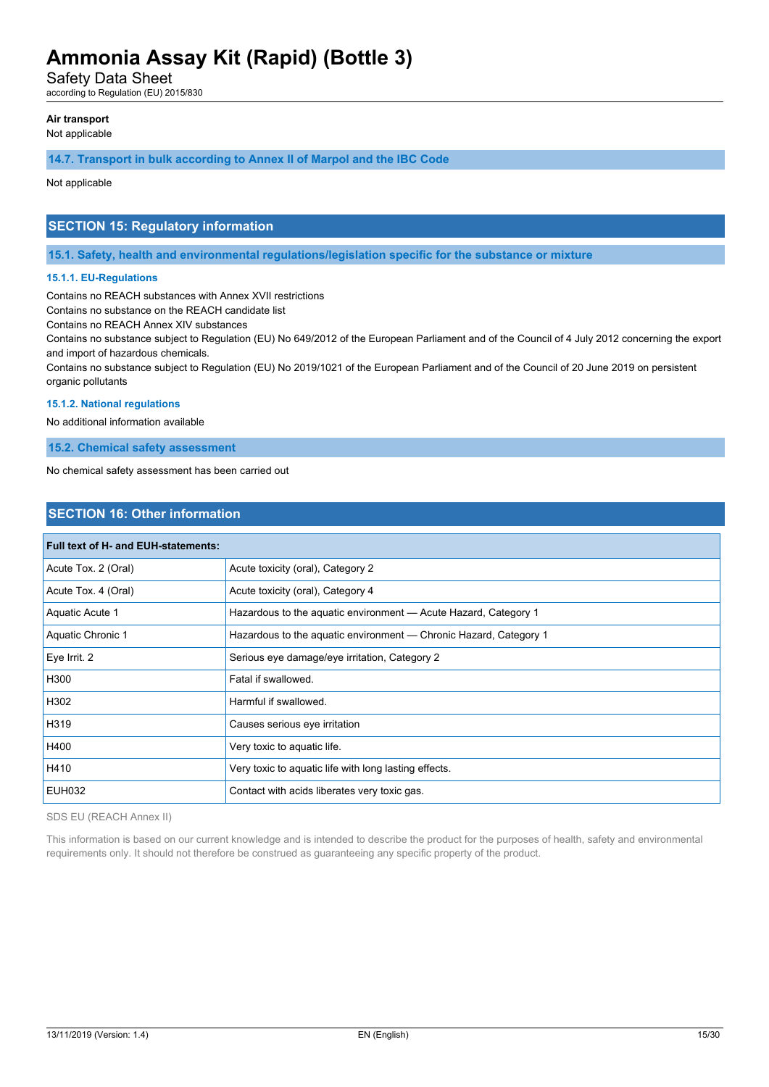Safety Data Sheet

according to Regulation (EU) 2015/830

## **Air transport**

Not applicable

## **14.7. Transport in bulk according to Annex II of Marpol and the IBC Code**

Not applicable

## **SECTION 15: Regulatory information**

**15.1. Safety, health and environmental regulations/legislation specific for the substance or mixture**

### **15.1.1. EU-Regulations**

Contains no REACH substances with Annex XVII restrictions

Contains no substance on the REACH candidate list

Contains no REACH Annex XIV substances

Contains no substance subject to Regulation (EU) No 649/2012 of the European Parliament and of the Council of 4 July 2012 concerning the export and import of hazardous chemicals.

Contains no substance subject to Regulation (EU) No 2019/1021 of the European Parliament and of the Council of 20 June 2019 on persistent organic pollutants

### **15.1.2. National regulations**

No additional information available

**15.2. Chemical safety assessment**

No chemical safety assessment has been carried out

## **SECTION 16: Other information**

| Full text of H- and EUH-statements: |                                                                   |  |  |
|-------------------------------------|-------------------------------------------------------------------|--|--|
| Acute Tox. 2 (Oral)                 | Acute toxicity (oral), Category 2                                 |  |  |
| Acute Tox. 4 (Oral)                 | Acute toxicity (oral), Category 4                                 |  |  |
| Aquatic Acute 1                     | Hazardous to the aquatic environment - Acute Hazard, Category 1   |  |  |
| Aquatic Chronic 1                   | Hazardous to the aquatic environment — Chronic Hazard, Category 1 |  |  |
| Eye Irrit. 2                        | Serious eye damage/eye irritation, Category 2                     |  |  |
| H300                                | Fatal if swallowed.                                               |  |  |
| H302                                | Harmful if swallowed.                                             |  |  |
| H319                                | Causes serious eye irritation                                     |  |  |
| H400                                | Very toxic to aquatic life.                                       |  |  |
| H410                                | Very toxic to aquatic life with long lasting effects.             |  |  |
| <b>EUH032</b>                       | Contact with acids liberates very toxic gas.                      |  |  |

SDS EU (REACH Annex II)

This information is based on our current knowledge and is intended to describe the product for the purposes of health, safety and environmental requirements only. It should not therefore be construed as guaranteeing any specific property of the product.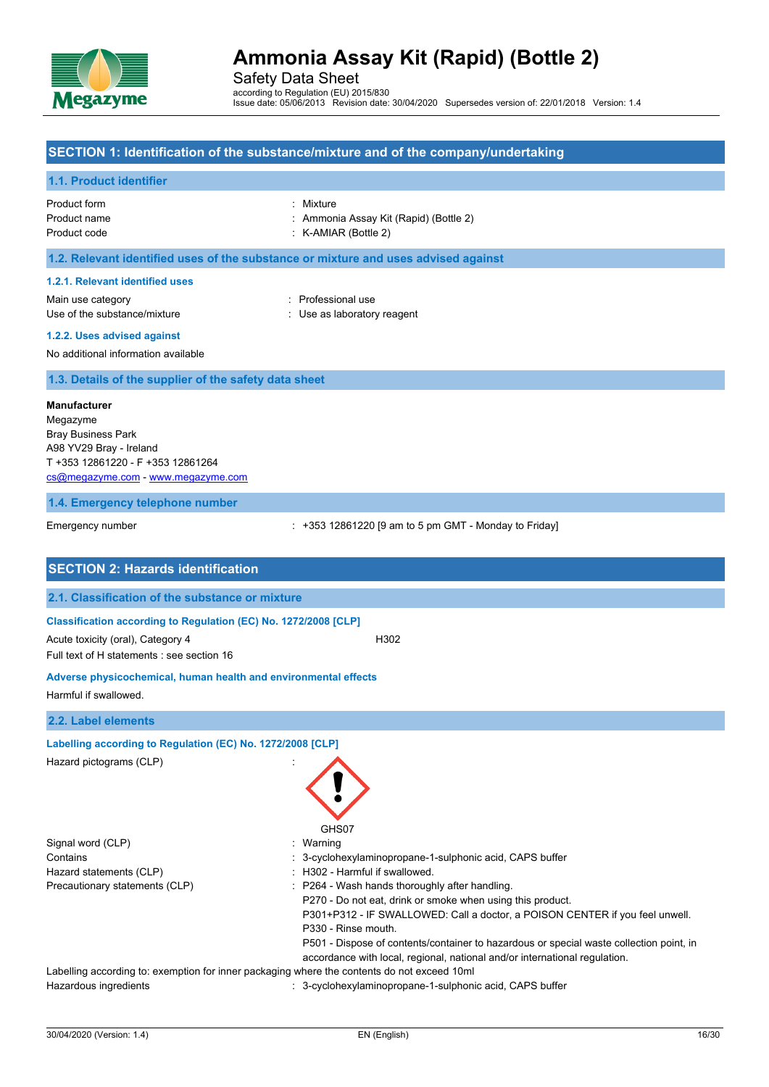

Safety Data Sheet according to Regulation (EU) 2015/830 Issue date: 05/06/2013 Revision date: 30/04/2020 Supersedes version of: 22/01/2018 Version: 1.4

## **SECTION 1: Identification of the substance/mixture and of the company/undertaking**

### **1.1. Product identifier**

| Product form | : Mixture                              |
|--------------|----------------------------------------|
| Product name | : Ammonia Assay Kit (Rapid) (Bottle 2) |
| Product code | $:$ K-AMIAR (Bottle 2)                 |

## **1.2. Relevant identified uses of the substance or mixture and uses advised against**

#### **1.2.1. Relevant identified uses**

Main use category **Example 20** and 20 and 20 and 20 and 20 and 20 and 20 and 20 and 20 and 20 and 20 and 20 and 20 and 20 and 20 and 20 and 20 and 20 and 20 and 20 and 20 and 20 and 20 and 20 and 20 and 20 and 20 and 20 an Use of the substance/mixture in the substance with the substance of the substance in the substance of the substance of the substance of the substance of the substance of the substance of the substance of the substance of t

**1.2.2. Uses advised against**

No additional information available

**1.3. Details of the supplier of the safety data sheet**

#### **Manufacturer**

Megazyme Bray Business Park A98 YV29 Bray - Ireland T +353 12861220 - F +353 12861264 [cs@megazyme.com](mailto:cs@megazyme.com) - <www.megazyme.com>

#### **1.4. Emergency telephone number**

Emergency number **Emergency** number : +353 12861220 [9 am to 5 pm GMT - Monday to Friday]

| <b>SECTION 2: Hazards identification</b>                                        |                                                                                                                                                                                                                                                                              |
|---------------------------------------------------------------------------------|------------------------------------------------------------------------------------------------------------------------------------------------------------------------------------------------------------------------------------------------------------------------------|
| 2.1. Classification of the substance or mixture                                 |                                                                                                                                                                                                                                                                              |
| Classification according to Regulation (EC) No. 1272/2008 [CLP]                 |                                                                                                                                                                                                                                                                              |
| Acute toxicity (oral), Category 4<br>Full text of H statements : see section 16 | H302                                                                                                                                                                                                                                                                         |
| Adverse physicochemical, human health and environmental effects                 |                                                                                                                                                                                                                                                                              |
| Harmful if swallowed.                                                           |                                                                                                                                                                                                                                                                              |
| 2.2. Label elements                                                             |                                                                                                                                                                                                                                                                              |
| Labelling according to Regulation (EC) No. 1272/2008 [CLP]                      |                                                                                                                                                                                                                                                                              |
| Hazard pictograms (CLP)                                                         | GHS07                                                                                                                                                                                                                                                                        |
| Signal word (CLP)                                                               | Warning                                                                                                                                                                                                                                                                      |
| Contains                                                                        | 3-cyclohexylaminopropane-1-sulphonic acid, CAPS buffer                                                                                                                                                                                                                       |
| Hazard statements (CLP)                                                         | H302 - Harmful if swallowed.                                                                                                                                                                                                                                                 |
| Precautionary statements (CLP)                                                  | P264 - Wash hands thoroughly after handling.<br>P270 - Do not eat, drink or smoke when using this product.                                                                                                                                                                   |
|                                                                                 | P301+P312 - IF SWALLOWED: Call a doctor, a POISON CENTER if you feel unwell.<br>P330 - Rinse mouth.<br>P501 - Dispose of contents/container to hazardous or special waste collection point, in<br>accordance with local, regional, national and/or international regulation. |
|                                                                                 | Labelling according to: exemption for inner packaging where the contents do not exceed 10ml                                                                                                                                                                                  |
| Hazardous ingredients                                                           | : 3-cyclohexylaminopropane-1-sulphonic acid, CAPS buffer                                                                                                                                                                                                                     |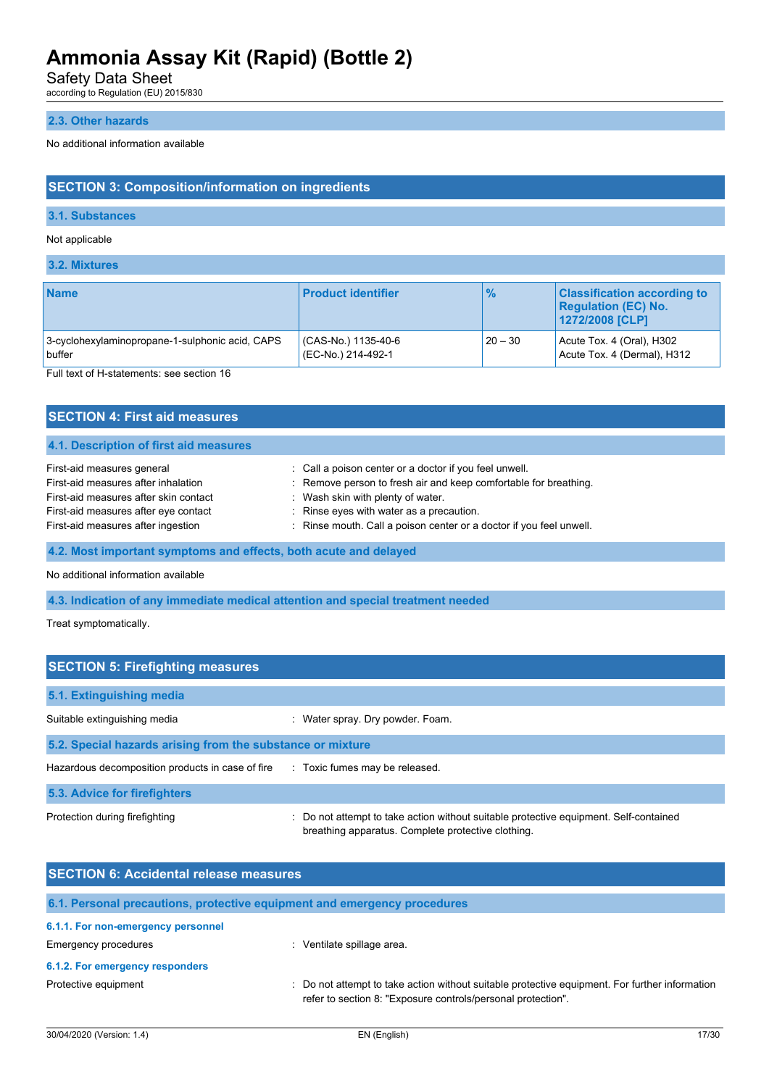Safety Data Sheet

according to Regulation (EU) 2015/830

## **2.3. Other hazards**

No additional information available

## **SECTION 3: Composition/information on ingredients**

## **3.1. Substances**

Not applicable

**3.2. Mixtures**

| <b>Name</b>                                     | <b>Product identifier</b> | $\frac{9}{6}$ | <b>Classification according to</b><br><b>Regulation (EC) No.</b><br>1272/2008 [CLP] |
|-------------------------------------------------|---------------------------|---------------|-------------------------------------------------------------------------------------|
| 3-cyclohexylaminopropane-1-sulphonic acid, CAPS | (CAS-No.) 1135-40-6       | $20 - 30$     | Acute Tox. 4 (Oral), H302                                                           |
| buffer                                          | (EC-No.) 214-492-1        |               | Acute Tox. 4 (Dermal), H312                                                         |

Full text of H-statements: see section 16

| <b>SECTION 4: First aid measures</b>                             |                                                                     |
|------------------------------------------------------------------|---------------------------------------------------------------------|
| 4.1. Description of first aid measures                           |                                                                     |
| First-aid measures general                                       | : Call a poison center or a doctor if you feel unwell.              |
| First-aid measures after inhalation                              | : Remove person to fresh air and keep comfortable for breathing.    |
| First-aid measures after skin contact                            | : Wash skin with plenty of water.                                   |
| First-aid measures after eye contact                             | : Rinse eyes with water as a precaution.                            |
| First-aid measures after ingestion                               | : Rinse mouth. Call a poison center or a doctor if you feel unwell. |
| 4.2. Most important symptoms and effects, both acute and delayed |                                                                     |

No additional information available

## **4.3. Indication of any immediate medical attention and special treatment needed**

Treat symptomatically.

| <b>SECTION 5: Firefighting measures</b>                    |                                                                                                                                             |
|------------------------------------------------------------|---------------------------------------------------------------------------------------------------------------------------------------------|
| 5.1. Extinguishing media                                   |                                                                                                                                             |
| Suitable extinguishing media                               | : Water spray. Dry powder. Foam.                                                                                                            |
| 5.2. Special hazards arising from the substance or mixture |                                                                                                                                             |
| Hazardous decomposition products in case of fire           | : Toxic fumes may be released.                                                                                                              |
| 5.3. Advice for firefighters                               |                                                                                                                                             |
| Protection during firefighting                             | : Do not attempt to take action without suitable protective equipment. Self-contained<br>breathing apparatus. Complete protective clothing. |

| <b>SECTION 6: Accidental release measures</b>      |                                                                                                                                                                |  |  |  |
|----------------------------------------------------|----------------------------------------------------------------------------------------------------------------------------------------------------------------|--|--|--|
|                                                    | 6.1. Personal precautions, protective equipment and emergency procedures                                                                                       |  |  |  |
| 6.1.1. For non-emergency personnel                 |                                                                                                                                                                |  |  |  |
| Emergency procedures<br>: Ventilate spillage area. |                                                                                                                                                                |  |  |  |
| 6.1.2. For emergency responders                    |                                                                                                                                                                |  |  |  |
| Protective equipment                               | : Do not attempt to take action without suitable protective equipment. For further information<br>refer to section 8: "Exposure controls/personal protection". |  |  |  |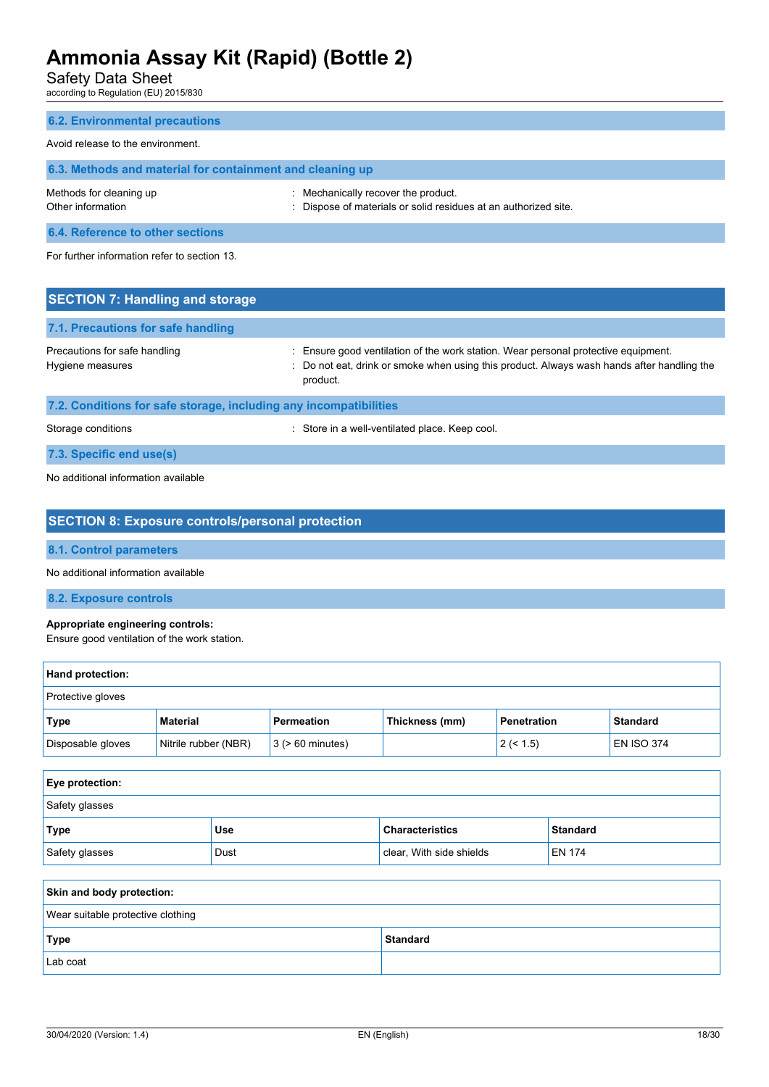Safety Data Sheet

according to Regulation (EU) 2015/830

| <b>6.2. Environmental precautions</b>                     |                                                                                                    |  |
|-----------------------------------------------------------|----------------------------------------------------------------------------------------------------|--|
| Avoid release to the environment.                         |                                                                                                    |  |
| 6.3. Methods and material for containment and cleaning up |                                                                                                    |  |
| Methods for cleaning up<br>Other information              | Mechanically recover the product.<br>Dispose of materials or solid residues at an authorized site. |  |
| 6.4. Reference to other sections                          |                                                                                                    |  |

For further information refer to section 13.

| <b>SECTION 7: Handling and storage</b>                            |                                                                                                                                                                                              |
|-------------------------------------------------------------------|----------------------------------------------------------------------------------------------------------------------------------------------------------------------------------------------|
| 7.1. Precautions for safe handling                                |                                                                                                                                                                                              |
| Precautions for safe handling<br>Hygiene measures                 | : Ensure good ventilation of the work station. Wear personal protective equipment.<br>: Do not eat, drink or smoke when using this product. Always wash hands after handling the<br>product. |
| 7.2. Conditions for safe storage, including any incompatibilities |                                                                                                                                                                                              |
| Storage conditions                                                | Store in a well-ventilated place. Keep cool.                                                                                                                                                 |

**7.3. Specific end use(s)**

No additional information available

## **SECTION 8: Exposure controls/personal protection**

**8.1. Control parameters**

No additional information available

**8.2. Exposure controls**

### **Appropriate engineering controls:**

Ensure good ventilation of the work station.

| Hand protection:  |                      |                       |                |                    |                   |  |
|-------------------|----------------------|-----------------------|----------------|--------------------|-------------------|--|
| Protective gloves |                      |                       |                |                    |                   |  |
| Type              | <b>Material</b>      | Permeation            | Thickness (mm) | <b>Penetration</b> | <b>Standard</b>   |  |
| Disposable gloves | Nitrile rubber (NBR) | $3$ ( $> 60$ minutes) |                | 2 (< 1.5)          | <b>EN ISO 374</b> |  |

| Eye protection:                                                        |      |                          |               |  |
|------------------------------------------------------------------------|------|--------------------------|---------------|--|
| Safety glasses                                                         |      |                          |               |  |
| <b>Type</b><br><b>Standard</b><br><b>Use</b><br><b>Characteristics</b> |      |                          |               |  |
| Safety glasses                                                         | Dust | clear, With side shields | <b>EN 174</b> |  |
|                                                                        |      |                          |               |  |
| Skin and body protection:                                              |      |                          |               |  |
| Wear suitable protective clothing                                      |      |                          |               |  |
| <b>Type</b><br><b>Standard</b>                                         |      |                          |               |  |

Lab coat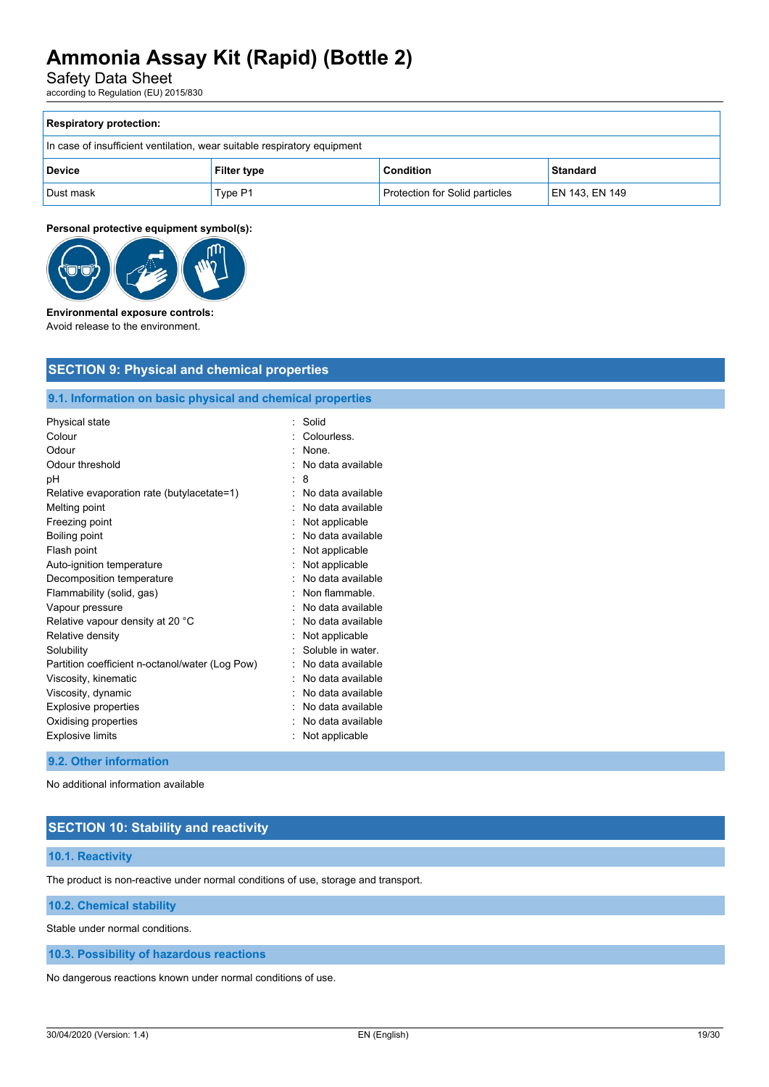Safety Data Sheet

according to Regulation (EU) 2015/830

| <b>Respiratory protection:</b>                                             |         |                                |                |  |  |
|----------------------------------------------------------------------------|---------|--------------------------------|----------------|--|--|
| In case of insufficient ventilation, wear suitable respiratory equipment   |         |                                |                |  |  |
| <b>Condition</b><br><b>Standard</b><br><b>Device</b><br><b>Filter type</b> |         |                                |                |  |  |
| Dust mask                                                                  | Type P1 | Protection for Solid particles | EN 143, EN 149 |  |  |

### **Personal protective equipment symbol(s):**



#### **Environmental exposure controls:** Avoid release to the environment.

## **9.1. Information on basic physical and chemical properties**

| Physical state                                  | Solid             |
|-------------------------------------------------|-------------------|
| Colour                                          | Colourless.       |
| Odour                                           | None.             |
| Odour threshold                                 | No data available |
| рH                                              | 8                 |
| Relative evaporation rate (butylacetate=1)      | No data available |
| Melting point                                   | No data available |
| Freezing point                                  | Not applicable    |
| Boiling point                                   | No data available |
| Flash point                                     | Not applicable    |
| Auto-ignition temperature                       | Not applicable    |
| Decomposition temperature                       | No data available |
| Flammability (solid, gas)                       | Non flammable.    |
| Vapour pressure                                 | No data available |
| Relative vapour density at 20 °C                | No data available |
| Relative density                                | Not applicable    |
| Solubility                                      | Soluble in water. |
| Partition coefficient n-octanol/water (Log Pow) | No data available |
| Viscosity, kinematic                            | No data available |
| Viscosity, dynamic                              | No data available |
| <b>Explosive properties</b>                     | No data available |
| Oxidising properties                            | No data available |
| <b>Explosive limits</b>                         | Not applicable    |

### **9.2. Other information**

No additional information available

## **SECTION 10: Stability and reactivity**

### **10.1. Reactivity**

The product is non-reactive under normal conditions of use, storage and transport.

## **10.2. Chemical stability**

Stable under normal conditions.

**10.3. Possibility of hazardous reactions**

No dangerous reactions known under normal conditions of use.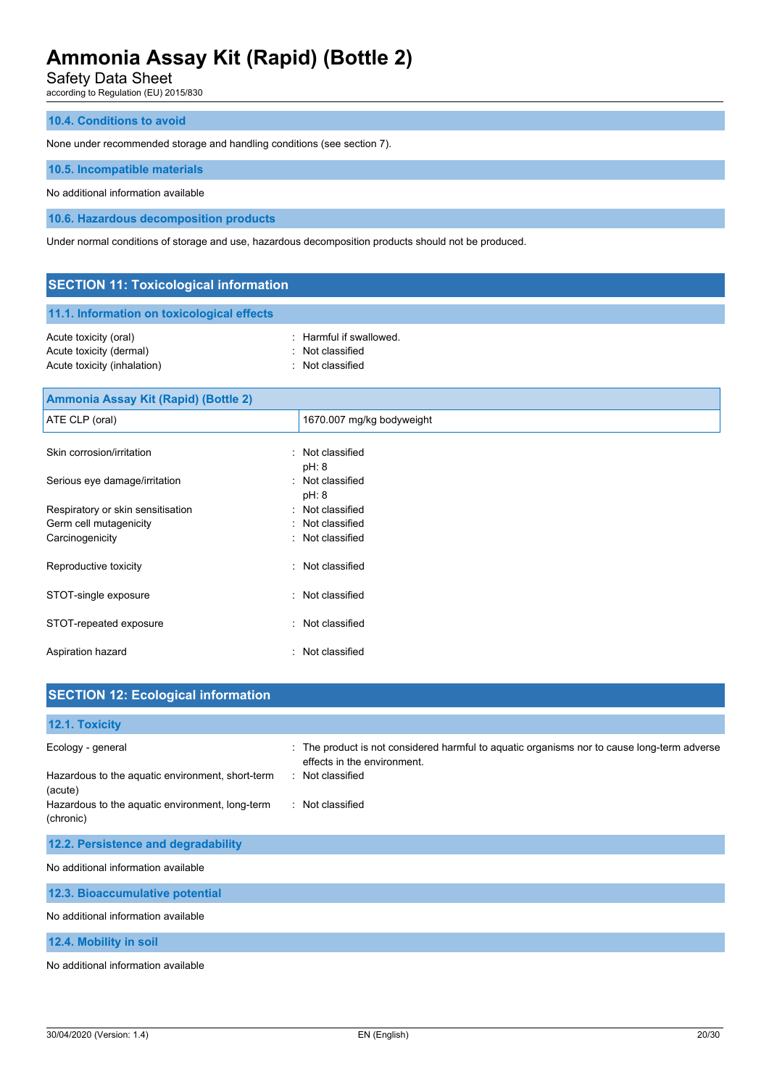Safety Data Sheet

according to Regulation (EU) 2015/830

### **10.4. Conditions to avoid**

None under recommended storage and handling conditions (see section 7).

#### **10.5. Incompatible materials**

No additional information available

**10.6. Hazardous decomposition products**

Under normal conditions of storage and use, hazardous decomposition products should not be produced.

## **SECTION 11: Toxicological information 11.1. Information on toxicological effects** Acute toxicity (oral)  $\blacksquare$  : Harmful if swallowed. Acute toxicity (dermal) **Example 2** Contract 2 Contract 2 Contract 2 Contract 2 Contract 2 Contract 2 Contract 2 Contract 2 Contract 2 Contract 2 Contract 2 Contract 2 Contract 2 Contract 2 Contract 2 Contract 2 Contract 2 Acute toxicity (inhalation) : Not classified **Ammonia Assay Kit (Rapid) (Bottle 2)**  ATE CLP (oral) and the contract of the 1670.007 mg/kg bodyweight Skin corrosion/irritation in the set of the set of the set of the set of the set of the set of the set of the set of the set of the set of the set of the set of the set of the set of the set of the set of the set of the se pH: 8 Serious eye damage/irritation : Not classified pH: 8 Respiratory or skin sensitisation : Not classified Germ cell mutagenicity **Second Contract Contract Contract Contract Contract Contract Contract Contract Contract Contract Contract Contract Contract Contract Contract Contract Contract Contract Contract Contract Contract Co**

| Carcinogenicity        | : Not classified |
|------------------------|------------------|
| Reproductive toxicity  | : Not classified |
| STOT-single exposure   | · Not classified |
| STOT-repeated exposure | : Not classified |
| Aspiration hazard      | : Not classified |

| <b>SECTION 12: Ecological information</b>                    |                                                                                                                          |
|--------------------------------------------------------------|--------------------------------------------------------------------------------------------------------------------------|
| 12.1. Toxicity                                               |                                                                                                                          |
| Ecology - general                                            | The product is not considered harmful to aquatic organisms nor to cause long-term adverse<br>effects in the environment. |
| Hazardous to the aquatic environment, short-term<br>(acute)  | : Not classified                                                                                                         |
| Hazardous to the aquatic environment, long-term<br>(chronic) | : Not classified                                                                                                         |
| 12.2. Persistence and degradability                          |                                                                                                                          |
| No additional information available                          |                                                                                                                          |
| 12.3. Bioaccumulative potential                              |                                                                                                                          |
| No additional information available                          |                                                                                                                          |
| 12.4. Mobility in soil                                       |                                                                                                                          |
| No additional information available                          |                                                                                                                          |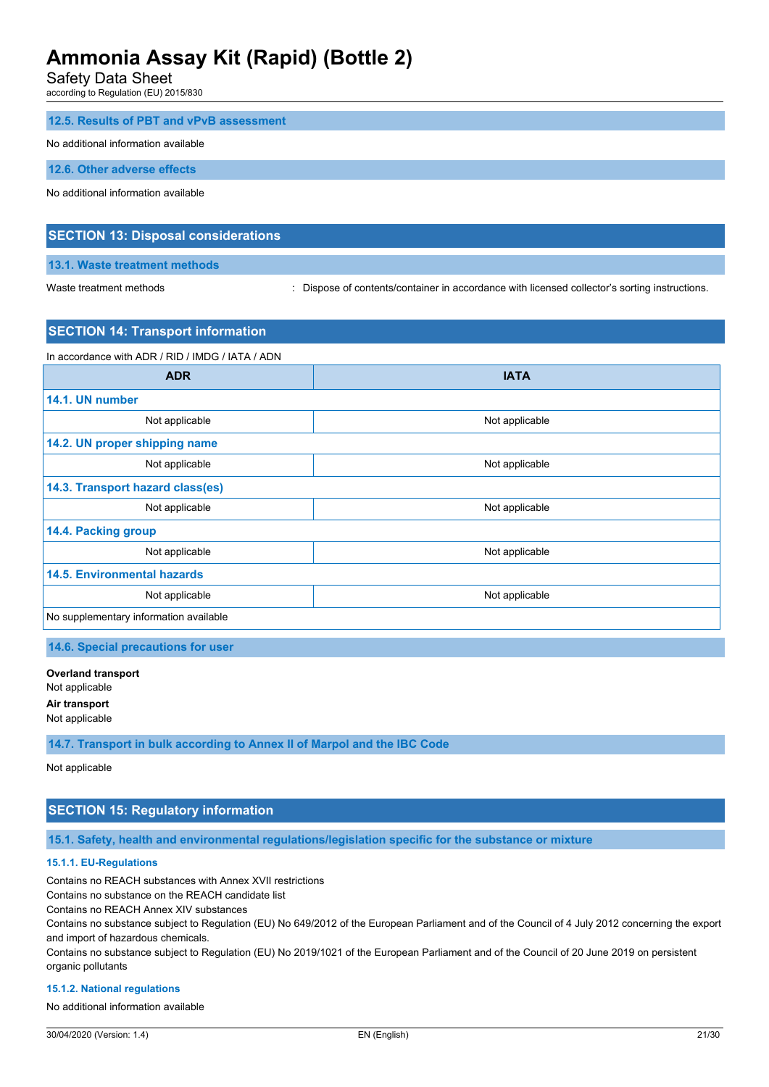Safety Data Sheet

according to Regulation (EU) 2015/830

### **12.5. Results of PBT and vPvB assessment**

#### No additional information available

**12.6. Other adverse effects**

No additional information available

## **SECTION 13: Disposal considerations**

### **13.1. Waste treatment methods**

Waste treatment methods : Dispose of contents/container in accordance with licensed collector's sorting instructions.

## **SECTION 14: Transport information**

In accordance with ADR / RID / IMDG / IATA / ADN

| <b>ADR</b>                             | <b>IATA</b>    |  |
|----------------------------------------|----------------|--|
| 14.1. UN number                        |                |  |
| Not applicable                         | Not applicable |  |
| 14.2. UN proper shipping name          |                |  |
| Not applicable                         | Not applicable |  |
| 14.3. Transport hazard class(es)       |                |  |
| Not applicable                         | Not applicable |  |
| 14.4. Packing group                    |                |  |
| Not applicable                         | Not applicable |  |
| <b>14.5. Environmental hazards</b>     |                |  |
| Not applicable                         | Not applicable |  |
| No supplementary information available |                |  |

**14.6. Special precautions for user**

**Overland transport** Not applicable **Air transport** Not applicable

**14.7. Transport in bulk according to Annex II of Marpol and the IBC Code**

Not applicable

## **SECTION 15: Regulatory information**

**15.1. Safety, health and environmental regulations/legislation specific for the substance or mixture**

### **15.1.1. EU-Regulations**

Contains no REACH substances with Annex XVII restrictions

Contains no substance on the REACH candidate list

Contains no REACH Annex XIV substances

Contains no substance subject to Regulation (EU) No 649/2012 of the European Parliament and of the Council of 4 July 2012 concerning the export and import of hazardous chemicals.

Contains no substance subject to Regulation (EU) No 2019/1021 of the European Parliament and of the Council of 20 June 2019 on persistent organic pollutants

#### **15.1.2. National regulations**

No additional information available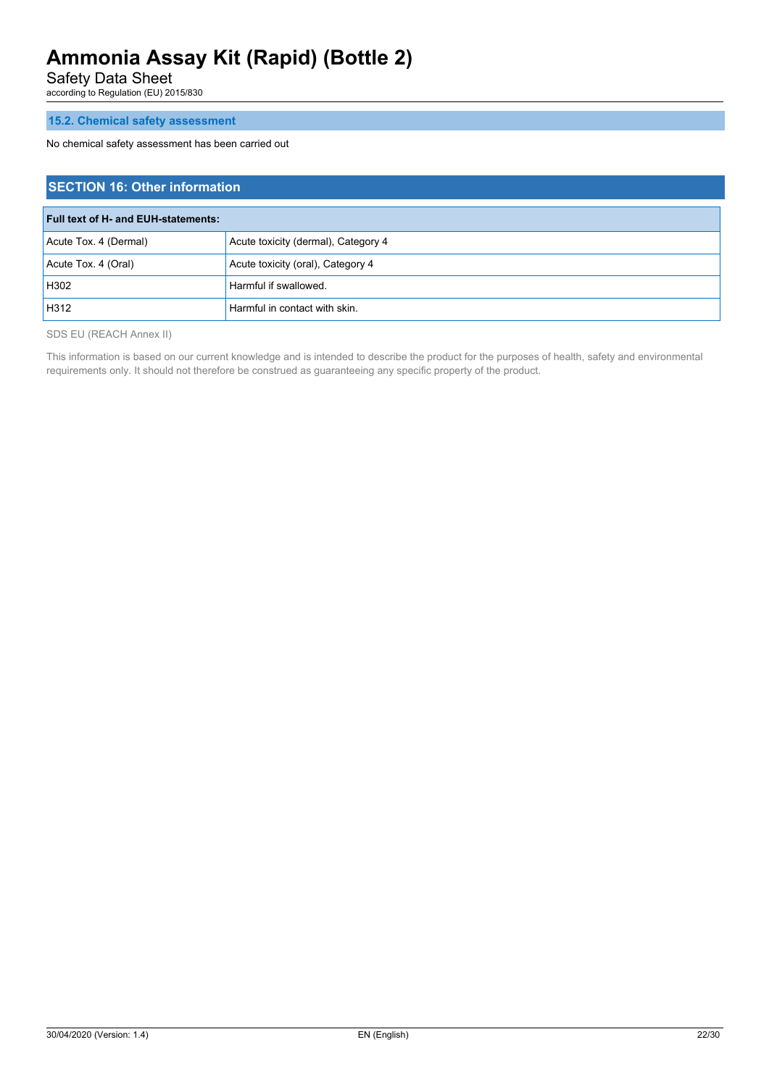Safety Data Sheet

according to Regulation (EU) 2015/830

## **15.2. Chemical safety assessment**

No chemical safety assessment has been carried out

| <b>SECTION 16: Other information</b> |                                     |  |
|--------------------------------------|-------------------------------------|--|
| Full text of H- and EUH-statements:  |                                     |  |
| Acute Tox. 4 (Dermal)                | Acute toxicity (dermal), Category 4 |  |
| Acute Tox. 4 (Oral)                  | Acute toxicity (oral), Category 4   |  |
| H302                                 | Harmful if swallowed.               |  |
| H312                                 | Harmful in contact with skin.       |  |

SDS EU (REACH Annex II)

This information is based on our current knowledge and is intended to describe the product for the purposes of health, safety and environmental requirements only. It should not therefore be construed as guaranteeing any specific property of the product.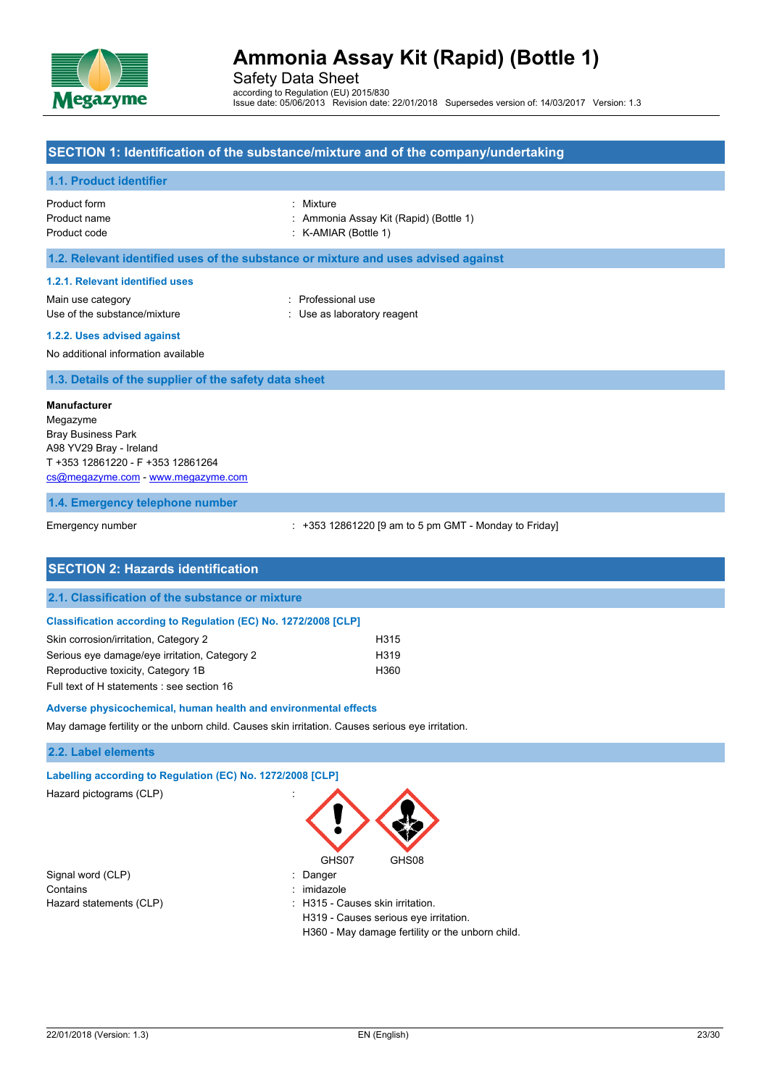

Safety Data Sheet according to Regulation (EU) 2015/830 Issue date: 05/06/2013 Revision date: 22/01/2018 Supersedes version of: 14/03/2017 Version: 1.3

## **SECTION 1: Identification of the substance/mixture and of the company/undertaking**

### **1.1. Product identifier**

| Product form | : Mixture                              |
|--------------|----------------------------------------|
| Product name | : Ammonia Assay Kit (Rapid) (Bottle 1) |
| Product code | $:$ K-AMIAR (Bottle 1)                 |

### **1.2. Relevant identified uses of the substance or mixture and uses advised against**

#### **1.2.1. Relevant identified uses**

Main use category **Example 20** and 20 and 20 and 20 and 20 and 20 and 20 and 20 and 20 and 20 and 20 and 20 and 20 and 20 and 20 and 20 and 20 and 20 and 20 and 20 and 20 and 20 and 20 and 20 and 20 and 20 and 20 and 20 an Use of the substance/mixture : Use as laboratory reagent

**1.2.2. Uses advised against**

No additional information available

**1.3. Details of the supplier of the safety data sheet**

#### **Manufacturer**

Megazyme Bray Business Park A98 YV29 Bray - Ireland T +353 12861220 - F +353 12861264 [cs@megazyme.com](mailto:cs@megazyme.com) - <www.megazyme.com>

#### **1.4. Emergency telephone number**

Emergency number **Emergency** number : +353 12861220 [9 am to 5 pm GMT - Monday to Friday]

| <b>SECTION 2: Hazards identification</b>                        |      |  |
|-----------------------------------------------------------------|------|--|
| 2.1. Classification of the substance or mixture                 |      |  |
| Classification according to Regulation (EC) No. 1272/2008 [CLP] |      |  |
| Skin corrosion/irritation, Category 2                           | H315 |  |
| Serious eye damage/eye irritation, Category 2                   | H319 |  |
| Reproductive toxicity, Category 1B                              | H360 |  |
| Full text of H statements : see section 16                      |      |  |

#### **Adverse physicochemical, human health and environmental effects**

May damage fertility or the unborn child. Causes skin irritation. Causes serious eye irritation.

### **2.2. Label elements**

#### **Labelling according to Regulation (EC) No. 1272/2008 [CLP]**

Hazard pictograms (CLP) :

Signal word (CLP) in the state of the Signal word (CLP) in the state of the state of the Signal word (CLP) Contains : imidazole

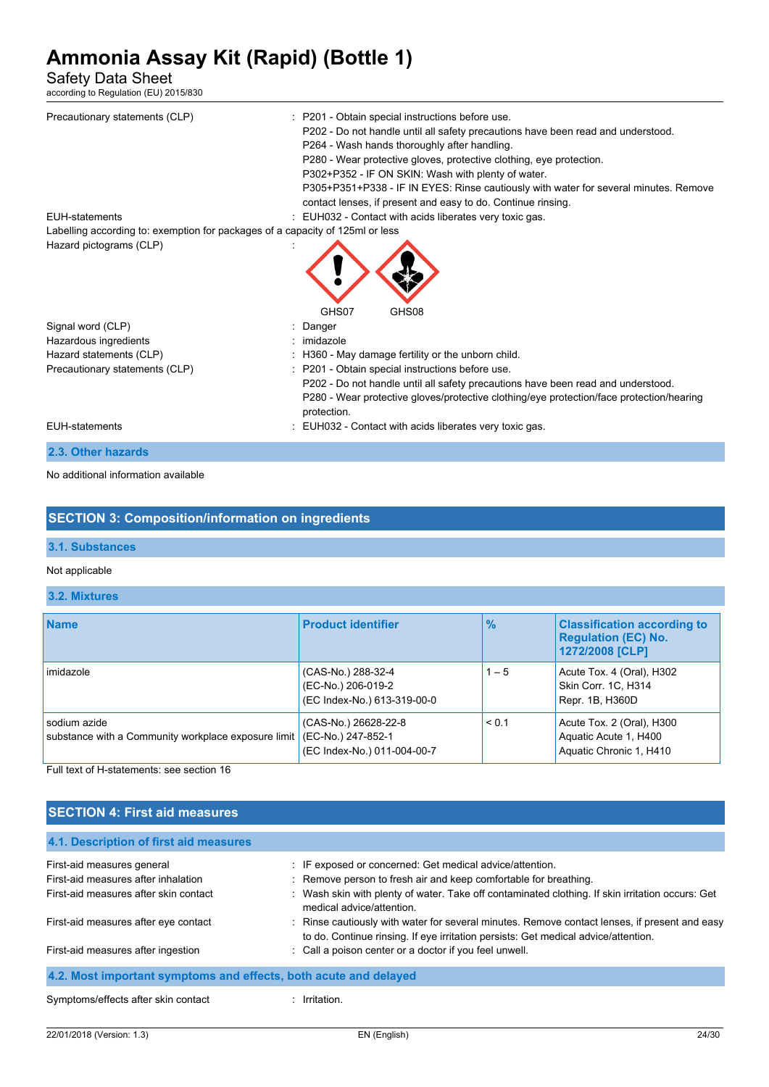Safety Data Sheet

according to Regulation (EU) 2015/830

| Precautionary statements (CLP)<br><b>EUH-statements</b>                       | : P201 - Obtain special instructions before use.<br>P202 - Do not handle until all safety precautions have been read and understood.<br>P264 - Wash hands thoroughly after handling.<br>P280 - Wear protective gloves, protective clothing, eye protection.<br>P302+P352 - IF ON SKIN: Wash with plenty of water.<br>P305+P351+P338 - IF IN EYES: Rinse cautiously with water for several minutes. Remove<br>contact lenses, if present and easy to do. Continue rinsing.<br>: EUH032 - Contact with acids liberates very toxic gas. |
|-------------------------------------------------------------------------------|--------------------------------------------------------------------------------------------------------------------------------------------------------------------------------------------------------------------------------------------------------------------------------------------------------------------------------------------------------------------------------------------------------------------------------------------------------------------------------------------------------------------------------------|
| Labelling according to: exemption for packages of a capacity of 125ml or less |                                                                                                                                                                                                                                                                                                                                                                                                                                                                                                                                      |
| Hazard pictograms (CLP)                                                       | GHS07<br>GHS08                                                                                                                                                                                                                                                                                                                                                                                                                                                                                                                       |
| Signal word (CLP)                                                             | Danger                                                                                                                                                                                                                                                                                                                                                                                                                                                                                                                               |
| Hazardous ingredients                                                         | : imidazole                                                                                                                                                                                                                                                                                                                                                                                                                                                                                                                          |
| Hazard statements (CLP)                                                       | : H360 - May damage fertility or the unborn child.                                                                                                                                                                                                                                                                                                                                                                                                                                                                                   |
| Precautionary statements (CLP)                                                | : P201 - Obtain special instructions before use.<br>P202 - Do not handle until all safety precautions have been read and understood.<br>P280 - Wear protective gloves/protective clothing/eye protection/face protection/hearing<br>protection.                                                                                                                                                                                                                                                                                      |
| <b>EUH-statements</b>                                                         | : EUH032 - Contact with acids liberates very toxic gas.                                                                                                                                                                                                                                                                                                                                                                                                                                                                              |
| 2.3. Other hazards                                                            |                                                                                                                                                                                                                                                                                                                                                                                                                                                                                                                                      |
|                                                                               |                                                                                                                                                                                                                                                                                                                                                                                                                                                                                                                                      |

No additional information available

## **SECTION 3: Composition/information on ingredients**

## **3.1. Substances**

## Not applicable

## **3.2. Mixtures**

| <b>Name</b>                                                         | <b>Product identifier</b>                                                 | $\frac{9}{6}$ | <b>Classification according to</b><br><b>Regulation (EC) No.</b><br>1272/2008 [CLP] |
|---------------------------------------------------------------------|---------------------------------------------------------------------------|---------------|-------------------------------------------------------------------------------------|
| imidazole                                                           | (CAS-No.) 288-32-4<br>(EC-No.) 206-019-2<br>(EC Index-No.) 613-319-00-0   | $1 - 5$       | Acute Tox. 4 (Oral), H302<br>Skin Corr. 1C, H314<br>Repr. 1B, H360D                 |
| sodium azide<br>substance with a Community workplace exposure limit | (CAS-No.) 26628-22-8<br>(EC-No.) 247-852-1<br>(EC Index-No.) 011-004-00-7 | < 0.1         | Acute Tox. 2 (Oral), H300<br>Aquatic Acute 1, H400<br>Aquatic Chronic 1, H410       |

Full text of H-statements: see section 16

## **SECTION 4: First aid measures**

| 4.1. Description of first aid measures                           |                                                                                                                                                                                     |
|------------------------------------------------------------------|-------------------------------------------------------------------------------------------------------------------------------------------------------------------------------------|
| First-aid measures general                                       | : IF exposed or concerned: Get medical advice/attention.                                                                                                                            |
| First-aid measures after inhalation                              | : Remove person to fresh air and keep comfortable for breathing.                                                                                                                    |
| First-aid measures after skin contact                            | : Wash skin with plenty of water. Take off contaminated clothing. If skin irritation occurs: Get<br>medical advice/attention                                                        |
| First-aid measures after eye contact                             | : Rinse cautiously with water for several minutes. Remove contact lenses, if present and easy<br>to do. Continue rinsing. If eye irritation persists: Get medical advice/attention. |
| First-aid measures after ingestion                               | : Call a poison center or a doctor if you feel unwell.                                                                                                                              |
| 4.2. Most important symptoms and effects, both acute and delayed |                                                                                                                                                                                     |
| Symptoms/effects after skin contact                              | Irritation.                                                                                                                                                                         |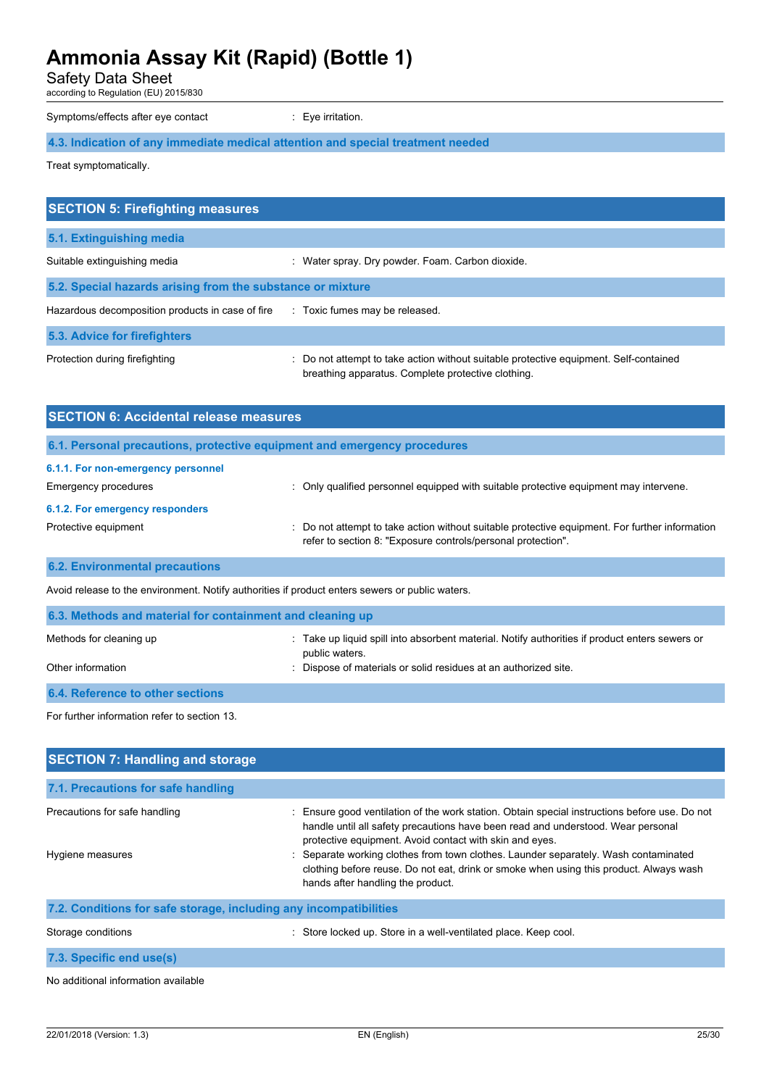Safety Data Sheet

according to Regulation (EU) 2015/830

Symptoms/effects after eye contact : Eye irritation.

**4.3. Indication of any immediate medical attention and special treatment needed**

Treat symptomatically.

| <b>SECTION 5: Firefighting measures</b>                    |                                                                                                                                             |
|------------------------------------------------------------|---------------------------------------------------------------------------------------------------------------------------------------------|
| 5.1. Extinguishing media                                   |                                                                                                                                             |
| Suitable extinguishing media                               | : Water spray. Dry powder. Foam. Carbon dioxide.                                                                                            |
| 5.2. Special hazards arising from the substance or mixture |                                                                                                                                             |
| Hazardous decomposition products in case of fire           | : Toxic fumes may be released.                                                                                                              |
| 5.3. Advice for firefighters                               |                                                                                                                                             |
| Protection during firefighting                             | : Do not attempt to take action without suitable protective equipment. Self-contained<br>breathing apparatus. Complete protective clothing. |
| <b>SECTION 6: Accidental release measures</b>              |                                                                                                                                             |

| 6.1. Personal precautions, protective equipment and emergency procedures |                                                                                                                                                                |  |
|--------------------------------------------------------------------------|----------------------------------------------------------------------------------------------------------------------------------------------------------------|--|
| 6.1.1. For non-emergency personnel<br><b>Emergency procedures</b>        | Only qualified personnel equipped with suitable protective equipment may intervene.                                                                            |  |
| 6.1.2. For emergency responders                                          |                                                                                                                                                                |  |
| Protective equipment                                                     | : Do not attempt to take action without suitable protective equipment. For further information<br>refer to section 8: "Exposure controls/personal protection". |  |

## **6.2. Environmental precautions**

Avoid release to the environment. Notify authorities if product enters sewers or public waters.

| 6.3. Methods and material for containment and cleaning up |                                                                                                                  |  |  |
|-----------------------------------------------------------|------------------------------------------------------------------------------------------------------------------|--|--|
| Methods for cleaning up                                   | : Take up liquid spill into absorbent material. Notify authorities if product enters sewers or<br>public waters. |  |  |
| Other information                                         | : Dispose of materials or solid residues at an authorized site.                                                  |  |  |
| <b>6.4. Reference to other sections</b>                   |                                                                                                                  |  |  |

For further information refer to section 13.

| <b>SECTION 7: Handling and storage</b>                            |                                                                                                                                                                                                                                                                                                                                                                                                                                                                  |
|-------------------------------------------------------------------|------------------------------------------------------------------------------------------------------------------------------------------------------------------------------------------------------------------------------------------------------------------------------------------------------------------------------------------------------------------------------------------------------------------------------------------------------------------|
| 7.1. Precautions for safe handling                                |                                                                                                                                                                                                                                                                                                                                                                                                                                                                  |
| Precautions for safe handling<br>Hygiene measures                 | Ensure good ventilation of the work station. Obtain special instructions before use. Do not<br>handle until all safety precautions have been read and understood. Wear personal<br>protective equipment. Avoid contact with skin and eyes.<br>: Separate working clothes from town clothes. Launder separately. Wash contaminated<br>clothing before reuse. Do not eat, drink or smoke when using this product. Always wash<br>hands after handling the product. |
| 7.2. Conditions for safe storage, including any incompatibilities |                                                                                                                                                                                                                                                                                                                                                                                                                                                                  |
| Storage conditions                                                | : Store locked up. Store in a well-ventilated place. Keep cool.                                                                                                                                                                                                                                                                                                                                                                                                  |
| 7.3. Specific end use(s)                                          |                                                                                                                                                                                                                                                                                                                                                                                                                                                                  |

No additional information available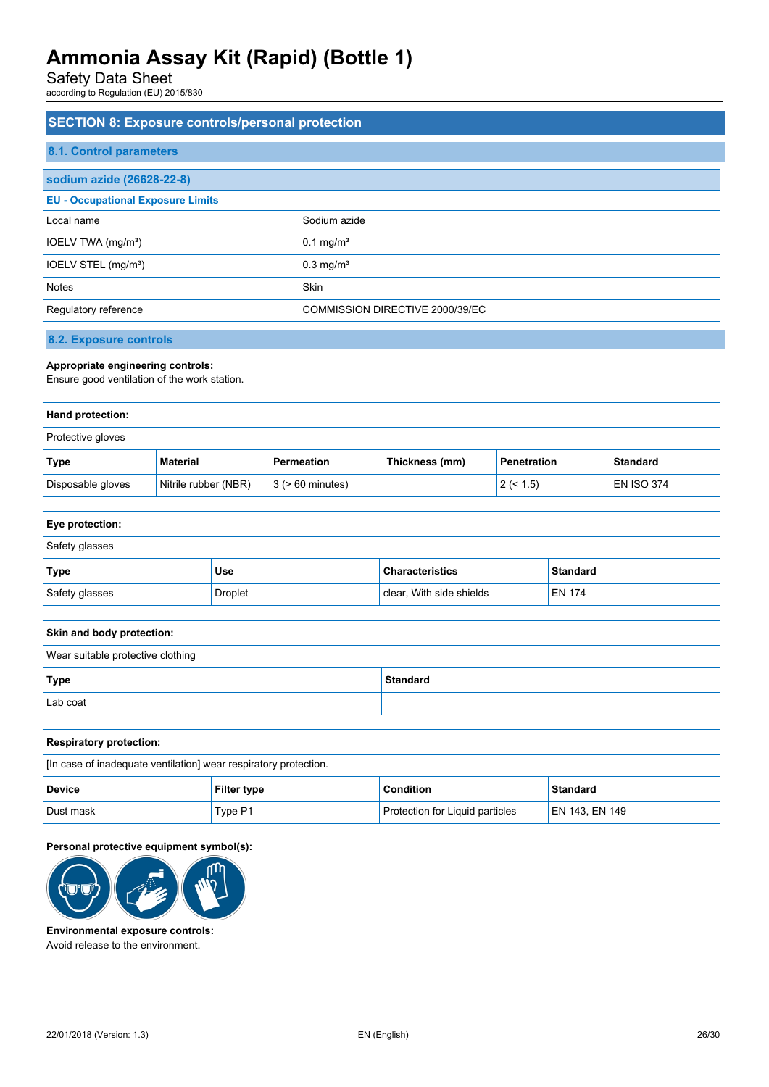Safety Data Sheet

according to Regulation (EU) 2015/830

## **SECTION 8: Exposure controls/personal protection 8.1. Control parameters sodium azide (26628-22-8) EU - Occupational Exposure Limits** Local name Sodium azide  $IOELV TWA (mg/m<sup>3</sup>)$  0.1 mg/m<sup>3</sup>  $IOELV$  STEL (mg/m<sup>3</sup>)  $0.3$  mg/m<sup>3</sup> Notes **Skinner and Skinner and Skinner** Skinner and Skinner and Skinner and Skinner and Skinner and Skinner and Skinner and Skinner and Skinner and Skinner and Skinner and Skinner and Skinner and Skinner and Skinner and Sk Regulatory reference **COMMISSION DIRECTIVE 2000/39/EC**

**8.2. Exposure controls**

### **Appropriate engineering controls:**

Ensure good ventilation of the work station.

| Hand protection:         |                      |                       |                |                    |                   |
|--------------------------|----------------------|-----------------------|----------------|--------------------|-------------------|
| <b>Protective gloves</b> |                      |                       |                |                    |                   |
| Type                     | Material             | Permeation            | Thickness (mm) | <b>Penetration</b> | <b>Standard</b>   |
| Disposable gloves        | Nitrile rubber (NBR) | $3$ ( $> 60$ minutes) |                | 2 (< 1.5)          | <b>EN ISO 374</b> |

| <b>Eye protection:</b> |         |                          |                 |
|------------------------|---------|--------------------------|-----------------|
| Safety glasses         |         |                          |                 |
| <b>Type</b>            | Use     | <b>Characteristics</b>   | <b>Standard</b> |
| Safety glasses         | Droplet | clear, With side shields | EN 174          |

| Skin and body protection:         |                 |  |
|-----------------------------------|-----------------|--|
| Wear suitable protective clothing |                 |  |
| Type                              | <b>Standard</b> |  |
| Lab coat                          |                 |  |

| <b>Respiratory protection:</b>                                   |                    |                                        |                |
|------------------------------------------------------------------|--------------------|----------------------------------------|----------------|
| [In case of inadequate ventilation] wear respiratory protection. |                    |                                        |                |
| <b>Device</b>                                                    | <b>Filter type</b> | <b>Condition</b>                       | Standard       |
| Dust mask                                                        | Type P1            | <b>Protection for Liquid particles</b> | EN 143, EN 149 |

### **Personal protective equipment symbol(s):**



**Environmental exposure controls:** Avoid release to the environment.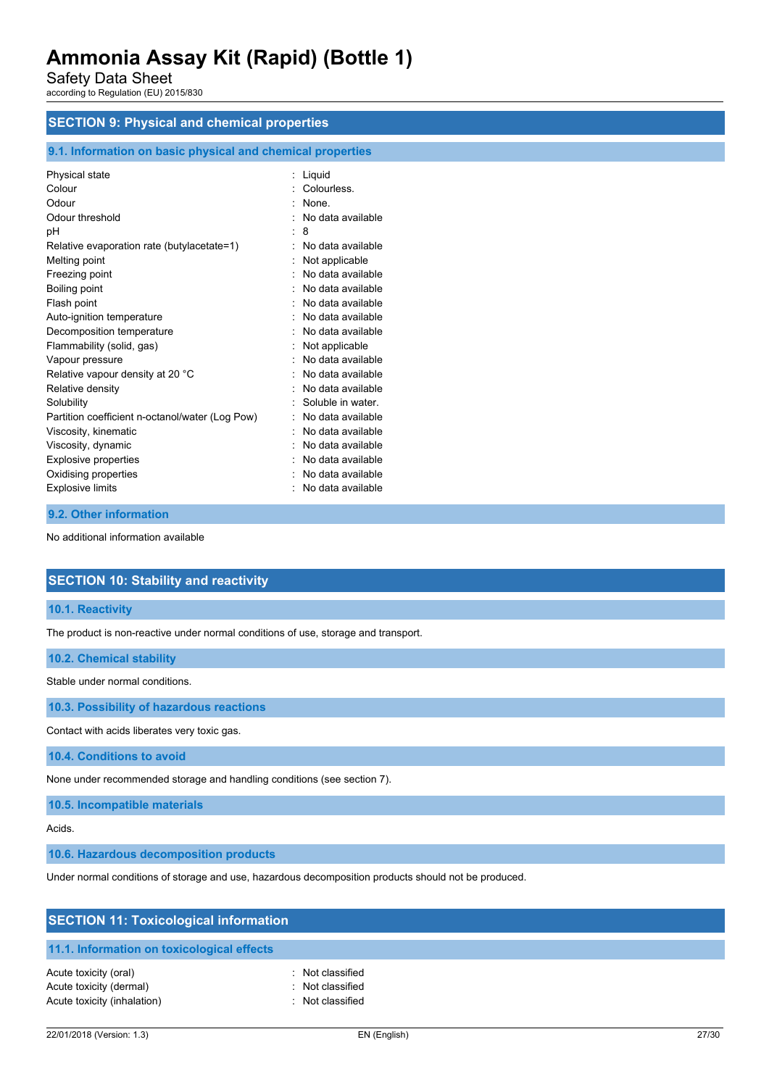Safety Data Sheet

according to Regulation (EU) 2015/830

## **SECTION 9: Physical and chemical properties**

## **9.1. Information on basic physical and chemical properties**

| Physical state                                  |   | Liquid            |
|-------------------------------------------------|---|-------------------|
| Colour                                          |   | Colourless.       |
| Odour                                           |   | None.             |
| Odour threshold                                 |   | No data available |
| рH                                              | t | 8                 |
| Relative evaporation rate (butylacetate=1)      |   | No data available |
| Melting point                                   |   | Not applicable    |
| Freezing point                                  |   | No data available |
| Boiling point                                   |   | No data available |
| Flash point                                     |   | No data available |
| Auto-ignition temperature                       |   | No data available |
| Decomposition temperature                       |   | No data available |
| Flammability (solid, gas)                       |   | Not applicable    |
| Vapour pressure                                 |   | No data available |
| Relative vapour density at 20 °C                |   | No data available |
| Relative density                                |   | No data available |
| Solubility                                      |   | Soluble in water. |
| Partition coefficient n-octanol/water (Log Pow) |   | No data available |
| Viscosity, kinematic                            |   | No data available |
| Viscosity, dynamic                              |   | No data available |
| <b>Explosive properties</b>                     |   | No data available |
| Oxidising properties                            |   | No data available |
| <b>Explosive limits</b>                         |   | No data available |

### **9.2. Other information**

No additional information available

## **SECTION 10: Stability and reactivity**

## **10.1. Reactivity**

The product is non-reactive under normal conditions of use, storage and transport.

## **10.2. Chemical stability**

Stable under normal conditions.

**10.3. Possibility of hazardous reactions**

Contact with acids liberates very toxic gas.

**10.4. Conditions to avoid**

None under recommended storage and handling conditions (see section 7).

**10.5. Incompatible materials**

### Acids.

**10.6. Hazardous decomposition products**

Under normal conditions of storage and use, hazardous decomposition products should not be produced.

| <b>SECTION 11: Toxicological information</b>                                    |                                                    |  |  |
|---------------------------------------------------------------------------------|----------------------------------------------------|--|--|
| 11.1. Information on toxicological effects                                      |                                                    |  |  |
| Acute toxicity (oral)<br>Acute toxicity (dermal)<br>Acute toxicity (inhalation) | Not classified<br>Not classified<br>Not classified |  |  |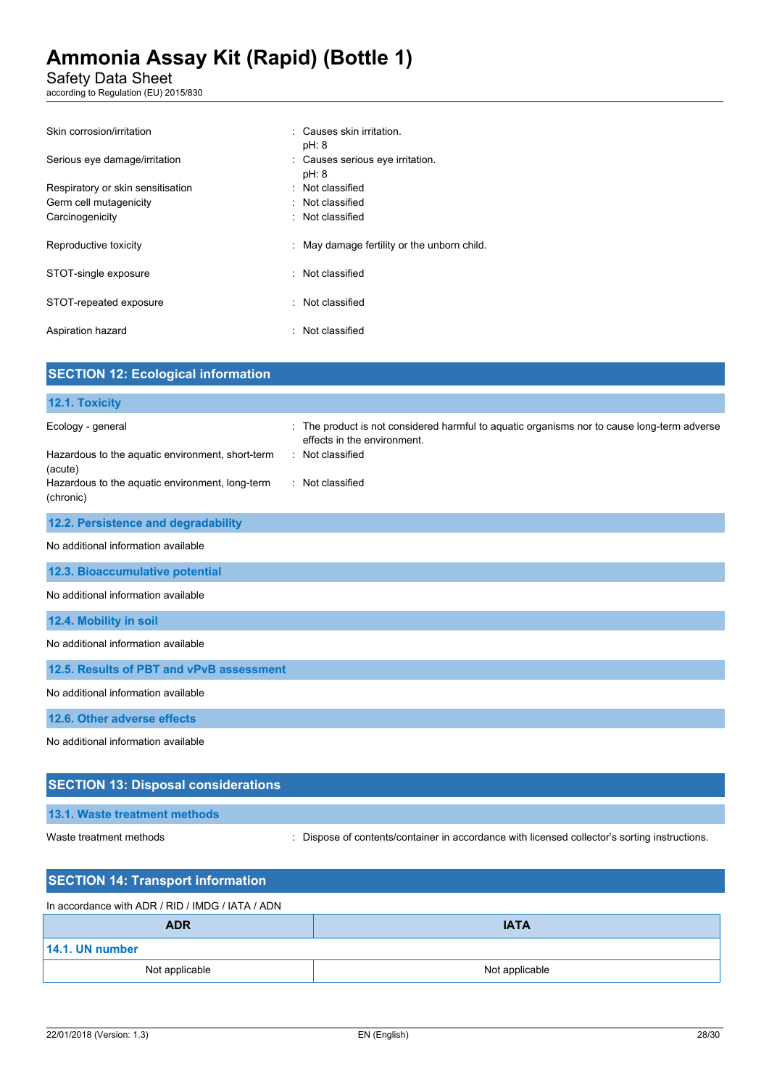Safety Data Sheet

according to Regulation (EU) 2015/830

| Skin corrosion/irritation         | : Causes skin irritation.<br>pH: 8          |
|-----------------------------------|---------------------------------------------|
| Serious eye damage/irritation     | : Causes serious eye irritation.<br>pH: 8   |
| Respiratory or skin sensitisation | : Not classified                            |
| Germ cell mutagenicity            | : Not classified                            |
| Carcinogenicity                   | : Not classified                            |
| Reproductive toxicity             | : May damage fertility or the unborn child. |
| STOT-single exposure              | : Not classified                            |
| STOT-repeated exposure            | : Not classified                            |
| Aspiration hazard                 | : Not classified                            |

| <b>SECTION 12: Ecological information</b>                    |                                                                                                                          |
|--------------------------------------------------------------|--------------------------------------------------------------------------------------------------------------------------|
| 12.1. Toxicity                                               |                                                                                                                          |
| Ecology - general                                            | The product is not considered harmful to aquatic organisms nor to cause long-term adverse<br>effects in the environment. |
| Hazardous to the aquatic environment, short-term<br>(acute)  | : Not classified                                                                                                         |
| Hazardous to the aquatic environment, long-term<br>(chronic) | : Not classified                                                                                                         |
| 12.2. Persistence and degradability                          |                                                                                                                          |
| No additional information available                          |                                                                                                                          |
| 12.3. Bioaccumulative potential                              |                                                                                                                          |
| No additional information available                          |                                                                                                                          |
| 12.4. Mobility in soil                                       |                                                                                                                          |
| No additional information available                          |                                                                                                                          |
| 12.5. Results of PBT and vPvB assessment                     |                                                                                                                          |
| No additional information available                          |                                                                                                                          |
| 12.6. Other adverse effects                                  |                                                                                                                          |
| No additional information available                          |                                                                                                                          |

## **SECTION 13: Disposal considerations**

## **13.1. Waste treatment methods**

Waste treatment methods : Dispose of contents/container in accordance with licensed collector's sorting instructions.

| <b>SECTION 14: Transport information</b>         |                |  |
|--------------------------------------------------|----------------|--|
| In accordance with ADR / RID / IMDG / IATA / ADN |                |  |
| <b>ADR</b>                                       | <b>IATA</b>    |  |
| 14.1. UN number                                  |                |  |
| Not applicable                                   | Not applicable |  |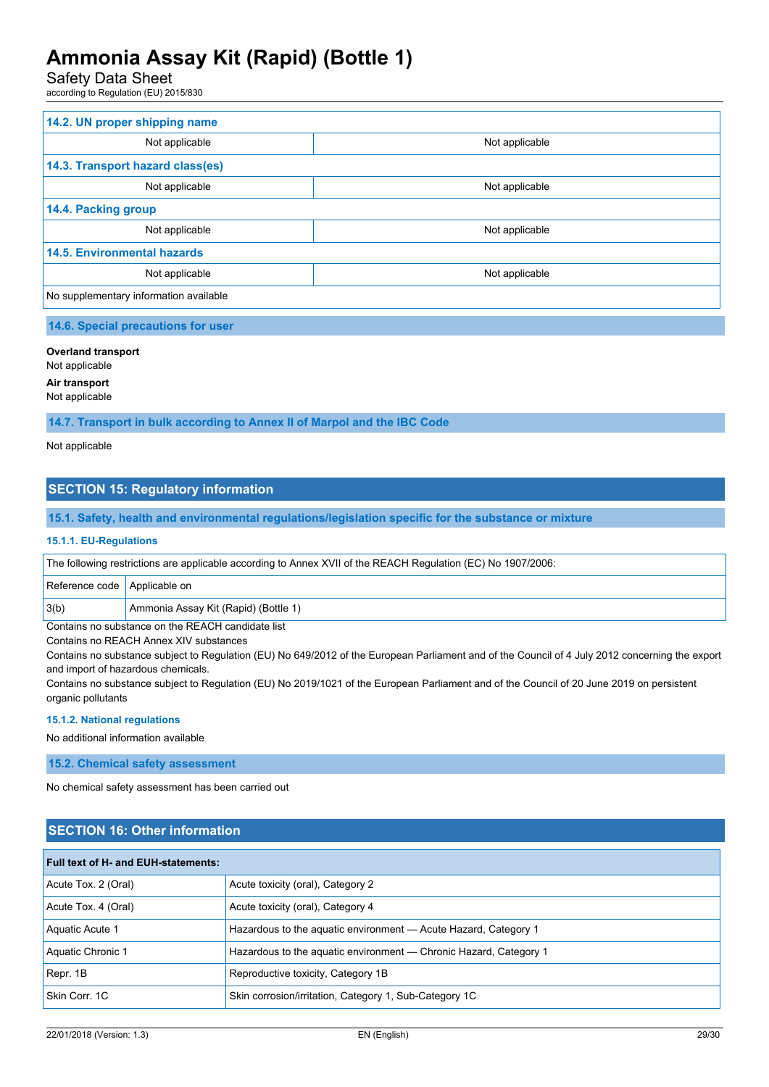Safety Data Sheet

according to Regulation (EU) 2015/830

| 14.2. UN proper shipping name          |                |  |
|----------------------------------------|----------------|--|
| Not applicable                         | Not applicable |  |
| 14.3. Transport hazard class(es)       |                |  |
| Not applicable                         | Not applicable |  |
| 14.4. Packing group                    |                |  |
| Not applicable                         | Not applicable |  |
| <b>14.5. Environmental hazards</b>     |                |  |
| Not applicable                         | Not applicable |  |
| No supplementary information available |                |  |

### **14.6. Special precautions for user**

## **Overland transport**

Not applicable

## **Air transport**

Not applicable

**14.7. Transport in bulk according to Annex II of Marpol and the IBC Code**

Not applicable

## **SECTION 15: Regulatory information**

**15.1. Safety, health and environmental regulations/legislation specific for the substance or mixture**

#### **15.1.1. EU-Regulations**

| The following restrictions are applicable according to Annex XVII of the REACH Regulation (EC) No 1907/2006: |                                      |  |
|--------------------------------------------------------------------------------------------------------------|--------------------------------------|--|
| Reference code   Applicable on                                                                               |                                      |  |
| 3(b)                                                                                                         | Ammonia Assay Kit (Rapid) (Bottle 1) |  |

Contains no substance on the REACH candidate list

Contains no REACH Annex XIV substances

Contains no substance subject to Regulation (EU) No 649/2012 of the European Parliament and of the Council of 4 July 2012 concerning the export and import of hazardous chemicals.

Contains no substance subject to Regulation (EU) No 2019/1021 of the European Parliament and of the Council of 20 June 2019 on persistent organic pollutants

#### **15.1.2. National regulations**

No additional information available

**15.2. Chemical safety assessment**

No chemical safety assessment has been carried out

## **SECTION 16: Other information**

| <b>Full text of H- and EUH-statements:</b> |                                                                   |  |
|--------------------------------------------|-------------------------------------------------------------------|--|
| Acute Tox. 2 (Oral)                        | Acute toxicity (oral), Category 2                                 |  |
| Acute Tox. 4 (Oral)                        | Acute toxicity (oral), Category 4                                 |  |
| Aquatic Acute 1                            | Hazardous to the aguatic environment - Acute Hazard, Category 1   |  |
| Aquatic Chronic 1                          | Hazardous to the aquatic environment — Chronic Hazard, Category 1 |  |
| Repr. 1B                                   | Reproductive toxicity, Category 1B                                |  |
| Skin Corr. 1C                              | Skin corrosion/irritation, Category 1, Sub-Category 1C            |  |